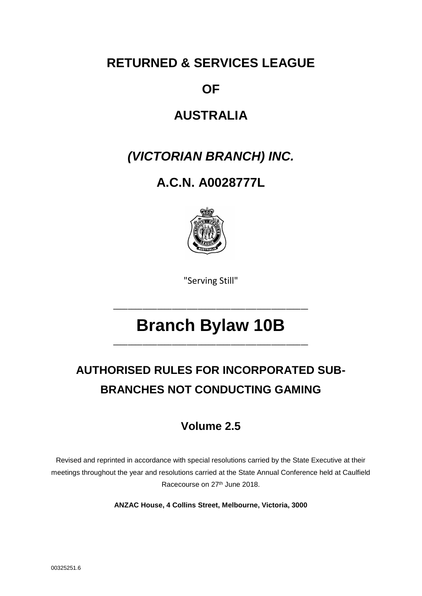# **RETURNED & SERVICES LEAGUE**

## **OF**

# **AUSTRALIA**

# *(VICTORIAN BRANCH) INC.*

# **A.C.N. A0028777L**



"Serving Still"

\_\_\_\_\_\_\_\_\_\_\_\_\_\_\_\_\_\_\_\_\_\_\_\_\_\_\_\_\_\_\_\_\_\_\_\_\_\_\_\_\_\_\_\_\_\_\_\_\_\_\_\_\_

# **Branch Bylaw 10B**

\_\_\_\_\_\_\_\_\_\_\_\_\_\_\_\_\_\_\_\_\_\_\_\_\_\_\_\_\_\_\_\_\_\_\_\_\_\_\_\_\_\_\_\_\_\_\_\_\_\_\_\_\_

# **AUTHORISED RULES FOR INCORPORATED SUB-BRANCHES NOT CONDUCTING GAMING**

## **Volume 2.5**

Revised and reprinted in accordance with special resolutions carried by the State Executive at their meetings throughout the year and resolutions carried at the State Annual Conference held at Caulfield Racecourse on 27th June 2018.

**ANZAC House, 4 Collins Street, Melbourne, Victoria, 3000**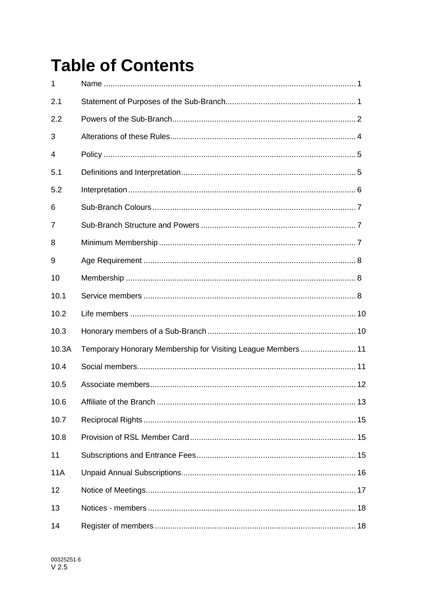# **Table of Contents**

| $\mathbf{1}$ |                                                              |  |
|--------------|--------------------------------------------------------------|--|
| 2.1          |                                                              |  |
| 2.2          |                                                              |  |
| 3            |                                                              |  |
| 4            |                                                              |  |
| 5.1          |                                                              |  |
| 5.2          |                                                              |  |
| 6            |                                                              |  |
| 7            |                                                              |  |
| 8            |                                                              |  |
| 9            |                                                              |  |
| 10           |                                                              |  |
| 10.1         |                                                              |  |
| 10.2         |                                                              |  |
| 10.3         |                                                              |  |
| 10.3A        | Temporary Honorary Membership for Visiting League Members 11 |  |
| 10.4         |                                                              |  |
| 10.5         |                                                              |  |
| 10.6         |                                                              |  |
| 10.7         |                                                              |  |
| 10.8         |                                                              |  |
| 11           |                                                              |  |
| <b>11A</b>   |                                                              |  |
| 12           |                                                              |  |
| 13           |                                                              |  |
| 14           |                                                              |  |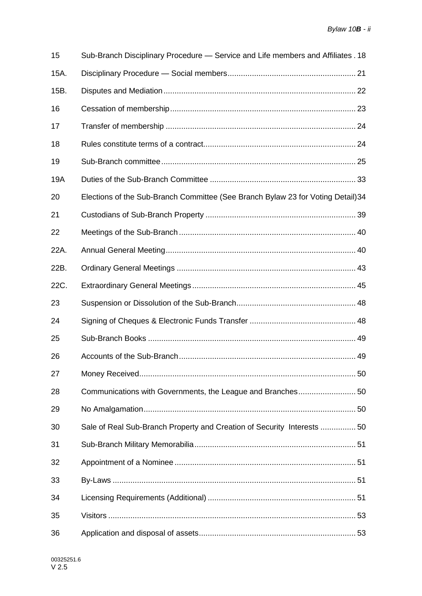| 15   | Sub-Branch Disciplinary Procedure — Service and Life members and Affiliates . 18 |
|------|----------------------------------------------------------------------------------|
| 15A. |                                                                                  |
| 15B. |                                                                                  |
| 16   |                                                                                  |
| 17   |                                                                                  |
| 18   |                                                                                  |
| 19   |                                                                                  |
| 19A  |                                                                                  |
| 20   | Elections of the Sub-Branch Committee (See Branch Bylaw 23 for Voting Detail) 34 |
| 21   |                                                                                  |
| 22   |                                                                                  |
| 22A. |                                                                                  |
| 22B. |                                                                                  |
| 22C. |                                                                                  |
| 23   |                                                                                  |
| 24   |                                                                                  |
| 25   |                                                                                  |
| 26   |                                                                                  |
| 27   |                                                                                  |
| 28   |                                                                                  |
| 29   |                                                                                  |
| 30   | Sale of Real Sub-Branch Property and Creation of Security Interests 50           |
| 31   |                                                                                  |
| 32   |                                                                                  |
| 33   |                                                                                  |
| 34   |                                                                                  |
| 35   |                                                                                  |
| 36   |                                                                                  |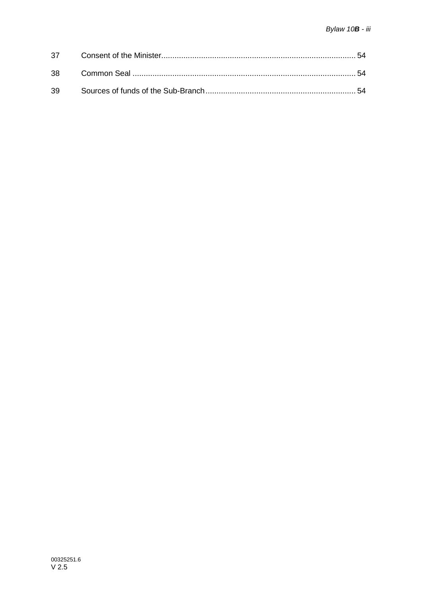| 38 |  |
|----|--|
| 39 |  |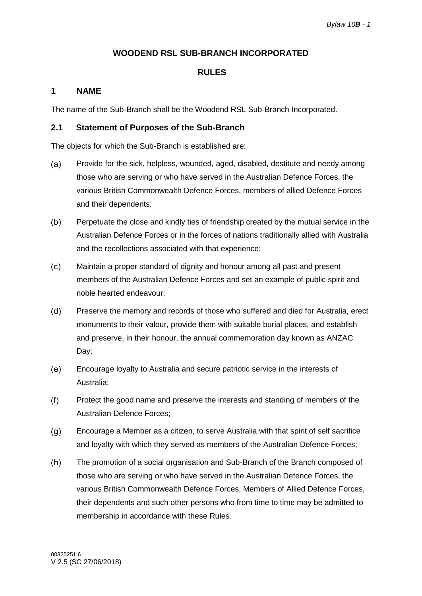### **WOODEND RSL SUB-BRANCH INCORPORATED**

### **RULES**

### <span id="page-4-0"></span>**1 NAME**

The name of the Sub-Branch shall be the Woodend RSL Sub-Branch Incorporated.

### <span id="page-4-1"></span>**2.1 Statement of Purposes of the Sub-Branch**

The objects for which the Sub-Branch is established are:

- $(a)$ Provide for the sick, helpless, wounded, aged, disabled, destitute and needy among those who are serving or who have served in the Australian Defence Forces, the various British Commonwealth Defence Forces, members of allied Defence Forces and their dependents;
- $(b)$ Perpetuate the close and kindly ties of friendship created by the mutual service in the Australian Defence Forces or in the forces of nations traditionally allied with Australia and the recollections associated with that experience;
- $(c)$ Maintain a proper standard of dignity and honour among all past and present members of the Australian Defence Forces and set an example of public spirit and noble hearted endeavour;
- $(d)$ Preserve the memory and records of those who suffered and died for Australia, erect monuments to their valour, provide them with suitable burial places, and establish and preserve, in their honour, the annual commemoration day known as ANZAC Day;
- Encourage loyalty to Australia and secure patriotic service in the interests of  $(e)$ Australia;
- $(f)$ Protect the good name and preserve the interests and standing of members of the Australian Defence Forces;
- $(q)$ Encourage a Member as a citizen, to serve Australia with that spirit of self sacrifice and loyalty with which they served as members of the Australian Defence Forces;
- $(h)$ The promotion of a social organisation and Sub-Branch of the Branch composed of those who are serving or who have served in the Australian Defence Forces, the various British Commonwealth Defence Forces, Members of Allied Defence Forces, their dependents and such other persons who from time to time may be admitted to membership in accordance with these Rules.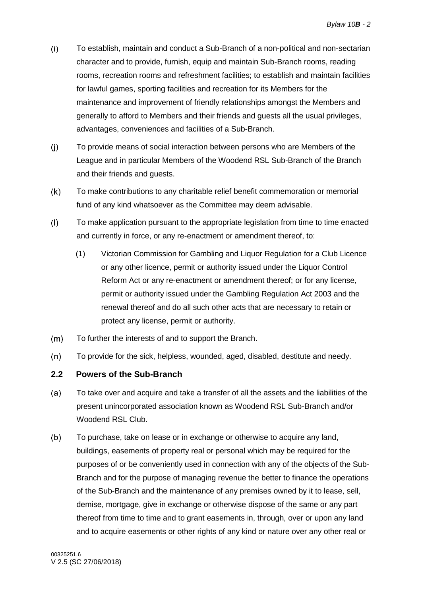- $(i)$ To establish, maintain and conduct a Sub-Branch of a non-political and non-sectarian character and to provide, furnish, equip and maintain Sub-Branch rooms, reading rooms, recreation rooms and refreshment facilities; to establish and maintain facilities for lawful games, sporting facilities and recreation for its Members for the maintenance and improvement of friendly relationships amongst the Members and generally to afford to Members and their friends and guests all the usual privileges, advantages, conveniences and facilities of a Sub-Branch.
- $(i)$ To provide means of social interaction between persons who are Members of the League and in particular Members of the Woodend RSL Sub-Branch of the Branch and their friends and guests.
- $(k)$ To make contributions to any charitable relief benefit commemoration or memorial fund of any kind whatsoever as the Committee may deem advisable.
- $(1)$ To make application pursuant to the appropriate legislation from time to time enacted and currently in force, or any re-enactment or amendment thereof, to:
	- (1) Victorian Commission for Gambling and Liquor Regulation for a Club Licence or any other licence, permit or authority issued under the Liquor Control Reform Act or any re-enactment or amendment thereof; or for any license, permit or authority issued under the Gambling Regulation Act 2003 and the renewal thereof and do all such other acts that are necessary to retain or protect any license, permit or authority.
- $(m)$ To further the interests of and to support the Branch.
- $(n)$ To provide for the sick, helpless, wounded, aged, disabled, destitute and needy.

### <span id="page-5-0"></span>**2.2 Powers of the Sub-Branch**

- To take over and acquire and take a transfer of all the assets and the liabilities of the  $(a)$ present unincorporated association known as Woodend RSL Sub-Branch and/or Woodend RSL Club.
- $(b)$ To purchase, take on lease or in exchange or otherwise to acquire any land, buildings, easements of property real or personal which may be required for the purposes of or be conveniently used in connection with any of the objects of the Sub-Branch and for the purpose of managing revenue the better to finance the operations of the Sub-Branch and the maintenance of any premises owned by it to lease, sell, demise, mortgage, give in exchange or otherwise dispose of the same or any part thereof from time to time and to grant easements in, through, over or upon any land and to acquire easements or other rights of any kind or nature over any other real or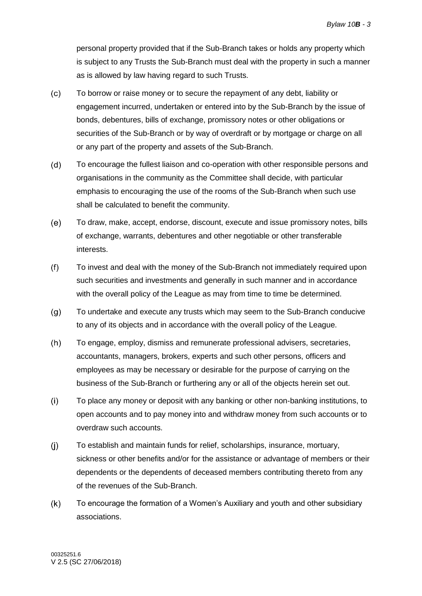personal property provided that if the Sub-Branch takes or holds any property which is subject to any Trusts the Sub-Branch must deal with the property in such a manner as is allowed by law having regard to such Trusts.

- $(c)$ To borrow or raise money or to secure the repayment of any debt, liability or engagement incurred, undertaken or entered into by the Sub-Branch by the issue of bonds, debentures, bills of exchange, promissory notes or other obligations or securities of the Sub-Branch or by way of overdraft or by mortgage or charge on all or any part of the property and assets of the Sub-Branch.
- $(d)$ To encourage the fullest liaison and co-operation with other responsible persons and organisations in the community as the Committee shall decide, with particular emphasis to encouraging the use of the rooms of the Sub-Branch when such use shall be calculated to benefit the community.
- $(e)$ To draw, make, accept, endorse, discount, execute and issue promissory notes, bills of exchange, warrants, debentures and other negotiable or other transferable interests.
- $(f)$ To invest and deal with the money of the Sub-Branch not immediately required upon such securities and investments and generally in such manner and in accordance with the overall policy of the League as may from time to time be determined.
- <span id="page-6-0"></span> $(g)$ To undertake and execute any trusts which may seem to the Sub-Branch conducive to any of its objects and in accordance with the overall policy of the League.
- $(h)$ To engage, employ, dismiss and remunerate professional advisers, secretaries, accountants, managers, brokers, experts and such other persons, officers and employees as may be necessary or desirable for the purpose of carrying on the business of the Sub-Branch or furthering any or all of the objects herein set out.
- $(i)$ To place any money or deposit with any banking or other non-banking institutions, to open accounts and to pay money into and withdraw money from such accounts or to overdraw such accounts.
- $(i)$ To establish and maintain funds for relief, scholarships, insurance, mortuary, sickness or other benefits and/or for the assistance or advantage of members or their dependents or the dependents of deceased members contributing thereto from any of the revenues of the Sub-Branch.
- $(k)$ To encourage the formation of a Women's Auxiliary and youth and other subsidiary associations.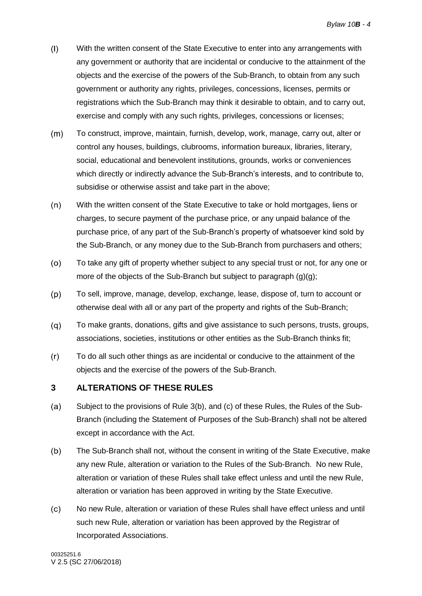- $(1)$ With the written consent of the State Executive to enter into any arrangements with any government or authority that are incidental or conducive to the attainment of the objects and the exercise of the powers of the Sub-Branch, to obtain from any such government or authority any rights, privileges, concessions, licenses, permits or registrations which the Sub-Branch may think it desirable to obtain, and to carry out, exercise and comply with any such rights, privileges, concessions or licenses;
- $(m)$ To construct, improve, maintain, furnish, develop, work, manage, carry out, alter or control any houses, buildings, clubrooms, information bureaux, libraries, literary, social, educational and benevolent institutions, grounds, works or conveniences which directly or indirectly advance the Sub-Branch's interests, and to contribute to, subsidise or otherwise assist and take part in the above;
- $(n)$ With the written consent of the State Executive to take or hold mortgages, liens or charges, to secure payment of the purchase price, or any unpaid balance of the purchase price, of any part of the Sub-Branch's property of whatsoever kind sold by the Sub-Branch, or any money due to the Sub-Branch from purchasers and others;
- To take any gift of property whether subject to any special trust or not, for any one or  $(0)$ more of the objects of the Sub-Branch but subject to paragraph [\(g\)\(g\);](#page-6-0)
- $(p)$ To sell, improve, manage, develop, exchange, lease, dispose of, turn to account or otherwise deal with all or any part of the property and rights of the Sub-Branch;
- $(q)$ To make grants, donations, gifts and give assistance to such persons, trusts, groups, associations, societies, institutions or other entities as the Sub-Branch thinks fit;
- $(r)$ To do all such other things as are incidental or conducive to the attainment of the objects and the exercise of the powers of the Sub-Branch.

### <span id="page-7-0"></span>**3 ALTERATIONS OF THESE RULES**

- $(a)$ Subject to the provisions of Rule [3\(b\),](#page-7-1) and [\(c\)](#page-7-2) of these Rules, the Rules of the Sub-Branch (including the Statement of Purposes of the Sub-Branch) shall not be altered except in accordance with the Act.
- <span id="page-7-1"></span> $(b)$ The Sub-Branch shall not, without the consent in writing of the State Executive, make any new Rule, alteration or variation to the Rules of the Sub-Branch. No new Rule, alteration or variation of these Rules shall take effect unless and until the new Rule, alteration or variation has been approved in writing by the State Executive.
- <span id="page-7-2"></span> $(c)$ No new Rule, alteration or variation of these Rules shall have effect unless and until such new Rule, alteration or variation has been approved by the Registrar of Incorporated Associations.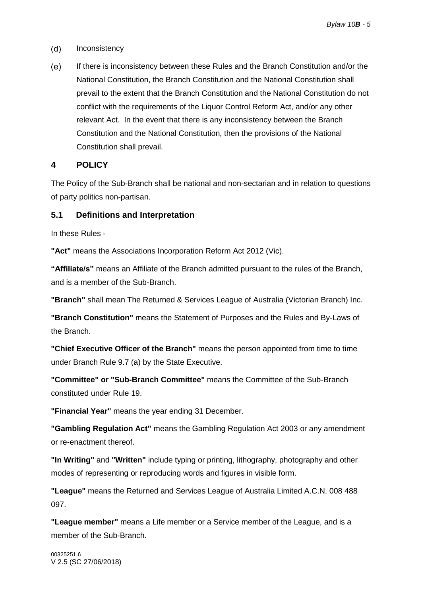- $(d)$ Inconsistency
- $(e)$ If there is inconsistency between these Rules and the Branch Constitution and/or the National Constitution, the Branch Constitution and the National Constitution shall prevail to the extent that the Branch Constitution and the National Constitution do not conflict with the requirements of the Liquor Control Reform Act, and/or any other relevant Act. In the event that there is any inconsistency between the Branch Constitution and the National Constitution, then the provisions of the National Constitution shall prevail.

### <span id="page-8-0"></span>**4 POLICY**

The Policy of the Sub-Branch shall be national and non-sectarian and in relation to questions of party politics non-partisan.

### <span id="page-8-1"></span>**5.1 Definitions and Interpretation**

In these Rules -

**"Act"** means the Associations Incorporation Reform Act 2012 (Vic).

**"Affiliate/s"** means an Affiliate of the Branch admitted pursuant to the rules of the Branch, and is a member of the Sub-Branch.

**"Branch"** shall mean The Returned & Services League of Australia (Victorian Branch) Inc.

**"Branch Constitution"** means the Statement of Purposes and the Rules and By-Laws of the Branch.

**"Chief Executive Officer of the Branch"** means the person appointed from time to time under Branch Rule 9.7 (a) by the State Executive.

**"Committee" or "Sub-Branch Committee"** means the Committee of the Sub-Branch constituted under Rule [19.](#page-28-0)

**"Financial Year"** means the year ending 31 December.

**"Gambling Regulation Act"** means the Gambling Regulation Act 2003 or any amendment or re-enactment thereof.

**"In Writing"** and **"Written"** include typing or printing, lithography, photography and other modes of representing or reproducing words and figures in visible form.

**"League"** means the Returned and Services League of Australia Limited A.C.N. 008 488 097.

**"League member"** means a Life member or a Service member of the League, and is a member of the Sub-Branch.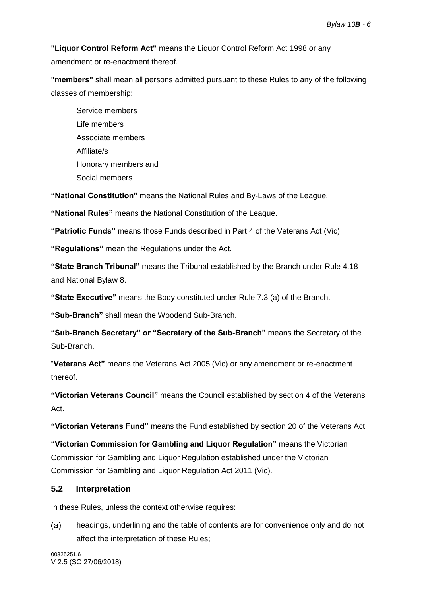**"Liquor Control Reform Act"** means the Liquor Control Reform Act 1998 or any amendment or re-enactment thereof.

**"members"** shall mean all persons admitted pursuant to these Rules to any of the following classes of membership:

Service members Life members Associate members Affiliate/s Honorary members and Social members

**"National Constitution"** means the National Rules and By-Laws of the League.

**"National Rules"** means the National Constitution of the League.

**"Patriotic Funds"** means those Funds described in Part 4 of the Veterans Act (Vic).

**"Regulations"** mean the Regulations under the Act.

**"State Branch Tribunal"** means the Tribunal established by the Branch under Rule 4.18 and National Bylaw 8.

**"State Executive"** means the Body constituted under Rule 7.3 (a) of the Branch.

**"Sub-Branch"** shall mean the Woodend Sub-Branch.

**"Sub-Branch Secretary" or "Secretary of the Sub-Branch"** means the Secretary of the Sub-Branch.

"**Veterans Act"** means the Veterans Act 2005 (Vic) or any amendment or re-enactment thereof.

**"Victorian Veterans Council"** means the Council established by section 4 of the Veterans Act.

**"Victorian Veterans Fund"** means the Fund established by section 20 of the Veterans Act.

**"Victorian Commission for Gambling and Liquor Regulation"** means the Victorian Commission for Gambling and Liquor Regulation established under the Victorian Commission for Gambling and Liquor Regulation Act 2011 (Vic).

### <span id="page-9-0"></span>**5.2 Interpretation**

In these Rules, unless the context otherwise requires:

 $(a)$ headings, underlining and the table of contents are for convenience only and do not affect the interpretation of these Rules;

00325251.6 V 2.5 (SC 27/06/2018)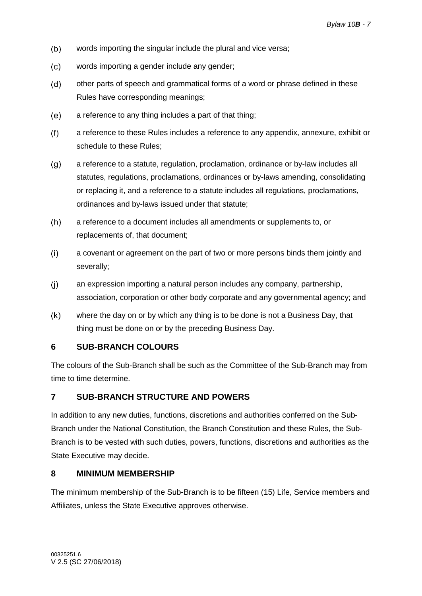- $(b)$ words importing the singular include the plural and vice versa;
- $(c)$ words importing a gender include any gender;
- other parts of speech and grammatical forms of a word or phrase defined in these  $(d)$ Rules have corresponding meanings;
- $(e)$ a reference to any thing includes a part of that thing;
- $(f)$ a reference to these Rules includes a reference to any appendix, annexure, exhibit or schedule to these Rules;
- a reference to a statute, regulation, proclamation, ordinance or by-law includes all  $(q)$ statutes, regulations, proclamations, ordinances or by-laws amending, consolidating or replacing it, and a reference to a statute includes all regulations, proclamations, ordinances and by-laws issued under that statute;
- $(h)$ a reference to a document includes all amendments or supplements to, or replacements of, that document;
- $(i)$ a covenant or agreement on the part of two or more persons binds them jointly and severally;
- $(i)$ an expression importing a natural person includes any company, partnership, association, corporation or other body corporate and any governmental agency; and
- $(k)$ where the day on or by which any thing is to be done is not a Business Day, that thing must be done on or by the preceding Business Day.

### <span id="page-10-0"></span>**6 SUB-BRANCH COLOURS**

The colours of the Sub-Branch shall be such as the Committee of the Sub-Branch may from time to time determine.

### <span id="page-10-1"></span>**7 SUB-BRANCH STRUCTURE AND POWERS**

In addition to any new duties, functions, discretions and authorities conferred on the Sub-Branch under the National Constitution, the Branch Constitution and these Rules, the Sub-Branch is to be vested with such duties, powers, functions, discretions and authorities as the State Executive may decide.

### <span id="page-10-2"></span>**8 MINIMUM MEMBERSHIP**

The minimum membership of the Sub-Branch is to be fifteen (15) Life, Service members and Affiliates, unless the State Executive approves otherwise.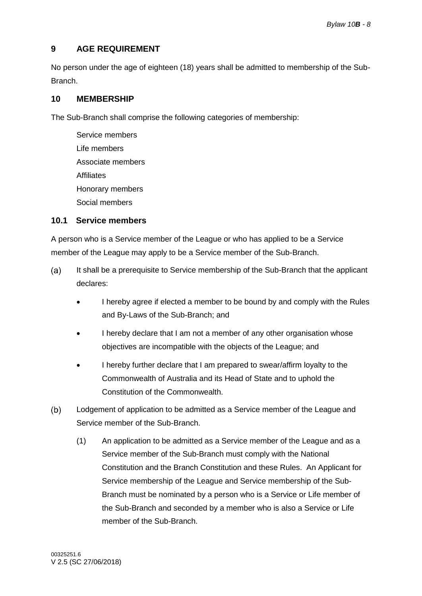### <span id="page-11-0"></span>**9 AGE REQUIREMENT**

No person under the age of eighteen (18) years shall be admitted to membership of the Sub-Branch.

### <span id="page-11-1"></span>**10 MEMBERSHIP**

The Sub-Branch shall comprise the following categories of membership:

Service members Life members Associate members **Affiliates** Honorary members Social members

### <span id="page-11-2"></span>**10.1 Service members**

A person who is a Service member of the League or who has applied to be a Service member of the League may apply to be a Service member of the Sub-Branch.

- $(a)$ It shall be a prerequisite to Service membership of the Sub-Branch that the applicant declares:
	- I hereby agree if elected a member to be bound by and comply with the Rules and By-Laws of the Sub-Branch; and
	- I hereby declare that I am not a member of any other organisation whose objectives are incompatible with the objects of the League; and
	- I hereby further declare that I am prepared to swear/affirm loyalty to the Commonwealth of Australia and its Head of State and to uphold the Constitution of the Commonwealth.
- $(b)$ Lodgement of application to be admitted as a Service member of the League and Service member of the Sub-Branch.
	- (1) An application to be admitted as a Service member of the League and as a Service member of the Sub-Branch must comply with the National Constitution and the Branch Constitution and these Rules. An Applicant for Service membership of the League and Service membership of the Sub-Branch must be nominated by a person who is a Service or Life member of the Sub-Branch and seconded by a member who is also a Service or Life member of the Sub-Branch.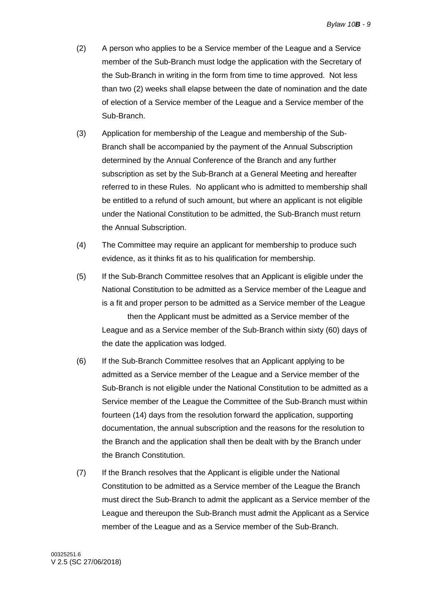- (2) A person who applies to be a Service member of the League and a Service member of the Sub-Branch must lodge the application with the Secretary of the Sub-Branch in writing in the form from time to time approved. Not less than two (2) weeks shall elapse between the date of nomination and the date of election of a Service member of the League and a Service member of the Sub-Branch.
- (3) Application for membership of the League and membership of the Sub-Branch shall be accompanied by the payment of the Annual Subscription determined by the Annual Conference of the Branch and any further subscription as set by the Sub-Branch at a General Meeting and hereafter referred to in these Rules. No applicant who is admitted to membership shall be entitled to a refund of such amount, but where an applicant is not eligible under the National Constitution to be admitted, the Sub-Branch must return the Annual Subscription.
- (4) The Committee may require an applicant for membership to produce such evidence, as it thinks fit as to his qualification for membership.
- (5) If the Sub-Branch Committee resolves that an Applicant is eligible under the National Constitution to be admitted as a Service member of the League and is a fit and proper person to be admitted as a Service member of the League then the Applicant must be admitted as a Service member of the League and as a Service member of the Sub-Branch within sixty (60) days of the date the application was lodged.
- (6) If the Sub-Branch Committee resolves that an Applicant applying to be admitted as a Service member of the League and a Service member of the Sub-Branch is not eligible under the National Constitution to be admitted as a Service member of the League the Committee of the Sub-Branch must within fourteen (14) days from the resolution forward the application, supporting documentation, the annual subscription and the reasons for the resolution to the Branch and the application shall then be dealt with by the Branch under the Branch Constitution.
- (7) If the Branch resolves that the Applicant is eligible under the National Constitution to be admitted as a Service member of the League the Branch must direct the Sub-Branch to admit the applicant as a Service member of the League and thereupon the Sub-Branch must admit the Applicant as a Service member of the League and as a Service member of the Sub-Branch.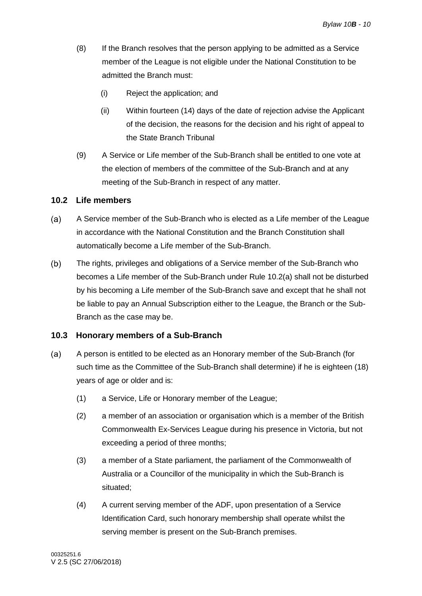- (8) If the Branch resolves that the person applying to be admitted as a Service member of the League is not eligible under the National Constitution to be admitted the Branch must:
	- (i) Reject the application; and
	- (ii) Within fourteen (14) days of the date of rejection advise the Applicant of the decision, the reasons for the decision and his right of appeal to the State Branch Tribunal
- (9) A Service or Life member of the Sub-Branch shall be entitled to one vote at the election of members of the committee of the Sub-Branch and at any meeting of the Sub-Branch in respect of any matter.

### <span id="page-13-0"></span>**10.2 Life members**

- <span id="page-13-2"></span>A Service member of the Sub-Branch who is elected as a Life member of the League  $(a)$ in accordance with the National Constitution and the Branch Constitution shall automatically become a Life member of the Sub-Branch.
- The rights, privileges and obligations of a Service member of the Sub-Branch who  $(b)$ becomes a Life member of the Sub-Branch under Rule [10.2\(a\)](#page-13-2) shall not be disturbed by his becoming a Life member of the Sub-Branch save and except that he shall not be liable to pay an Annual Subscription either to the League, the Branch or the Sub-Branch as the case may be.

### <span id="page-13-1"></span>**10.3 Honorary members of a Sub-Branch**

- $(a)$ A person is entitled to be elected as an Honorary member of the Sub-Branch (for such time as the Committee of the Sub-Branch shall determine) if he is eighteen (18) years of age or older and is:
	- (1) a Service, Life or Honorary member of the League;
	- (2) a member of an association or organisation which is a member of the British Commonwealth Ex-Services League during his presence in Victoria, but not exceeding a period of three months;
	- (3) a member of a State parliament, the parliament of the Commonwealth of Australia or a Councillor of the municipality in which the Sub-Branch is situated;
	- (4) A current serving member of the ADF, upon presentation of a Service Identification Card, such honorary membership shall operate whilst the serving member is present on the Sub-Branch premises.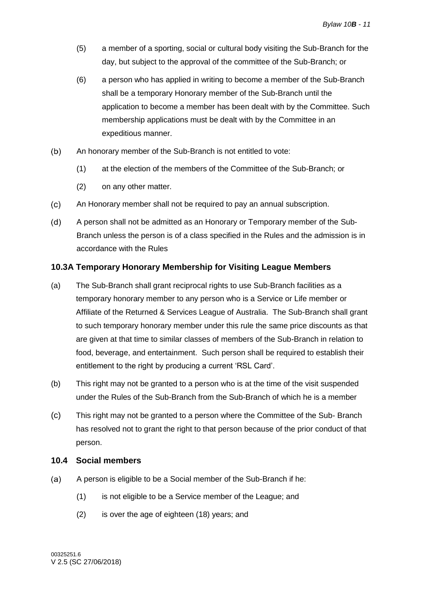- (5) a member of a sporting, social or cultural body visiting the Sub-Branch for the day, but subject to the approval of the committee of the Sub-Branch; or
- (6) a person who has applied in writing to become a member of the Sub-Branch shall be a temporary Honorary member of the Sub-Branch until the application to become a member has been dealt with by the Committee. Such membership applications must be dealt with by the Committee in an expeditious manner.
- $(b)$ An honorary member of the Sub-Branch is not entitled to vote:
	- (1) at the election of the members of the Committee of the Sub-Branch; or
	- (2) on any other matter.
- $(c)$ An Honorary member shall not be required to pay an annual subscription.
- $(d)$ A person shall not be admitted as an Honorary or Temporary member of the Sub-Branch unless the person is of a class specified in the Rules and the admission is in accordance with the Rules

### <span id="page-14-0"></span>**10.3A Temporary Honorary Membership for Visiting League Members**

- (a) The Sub-Branch shall grant reciprocal rights to use Sub-Branch facilities as a temporary honorary member to any person who is a Service or Life member or Affiliate of the Returned & Services League of Australia. The Sub-Branch shall grant to such temporary honorary member under this rule the same price discounts as that are given at that time to similar classes of members of the Sub-Branch in relation to food, beverage, and entertainment. Such person shall be required to establish their entitlement to the right by producing a current 'RSL Card'.
- (b) This right may not be granted to a person who is at the time of the visit suspended under the Rules of the Sub-Branch from the Sub-Branch of which he is a member
- (c) This right may not be granted to a person where the Committee of the Sub- Branch has resolved not to grant the right to that person because of the prior conduct of that person.

#### <span id="page-14-1"></span>**10.4 Social members**

- $(a)$ A person is eligible to be a Social member of the Sub-Branch if he:
	- (1) is not eligible to be a Service member of the League; and
	- (2) is over the age of eighteen (18) years; and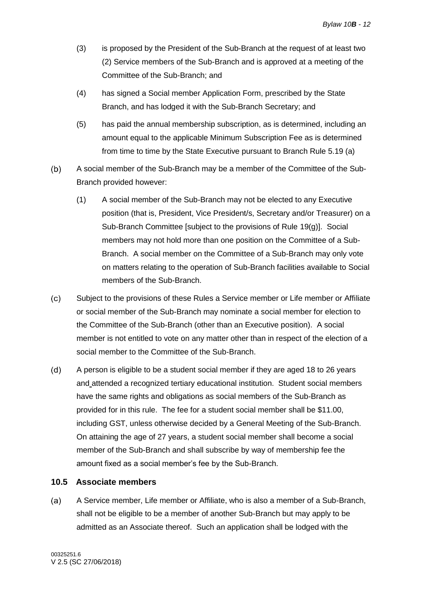- (3) is proposed by the President of the Sub-Branch at the request of at least two (2) Service members of the Sub-Branch and is approved at a meeting of the Committee of the Sub-Branch; and
- (4) has signed a Social member Application Form, prescribed by the State Branch, and has lodged it with the Sub-Branch Secretary; and
- (5) has paid the annual membership subscription, as is determined, including an amount equal to the applicable Minimum Subscription Fee as is determined from time to time by the State Executive pursuant to Branch Rule 5.19 (a)
- A social member of the Sub-Branch may be a member of the Committee of the Sub- $(b)$ Branch provided however:
	- (1) A social member of the Sub-Branch may not be elected to any Executive position (that is, President, Vice President/s, Secretary and/or Treasurer) on a Sub-Branch Committee [subject to the provisions of Rule [19\(g\)\]](#page-29-0). Social members may not hold more than one position on the Committee of a Sub-Branch. A social member on the Committee of a Sub-Branch may only vote on matters relating to the operation of Sub-Branch facilities available to Social members of the Sub-Branch.
- $(c)$ Subject to the provisions of these Rules a Service member or Life member or Affiliate or social member of the Sub-Branch may nominate a social member for election to the Committee of the Sub-Branch (other than an Executive position). A social member is not entitled to vote on any matter other than in respect of the election of a social member to the Committee of the Sub-Branch.
- $(d)$ A person is eligible to be a student social member if they are aged 18 to 26 years and attended a recognized tertiary educational institution. Student social members have the same rights and obligations as social members of the Sub-Branch as provided for in this rule. The fee for a student social member shall be \$11.00, including GST, unless otherwise decided by a General Meeting of the Sub-Branch. On attaining the age of 27 years, a student social member shall become a social member of the Sub-Branch and shall subscribe by way of membership fee the amount fixed as a social member's fee by the Sub-Branch.

### <span id="page-15-0"></span>**10.5 Associate members**

 $(a)$ A Service member, Life member or Affiliate, who is also a member of a Sub-Branch, shall not be eligible to be a member of another Sub-Branch but may apply to be admitted as an Associate thereof. Such an application shall be lodged with the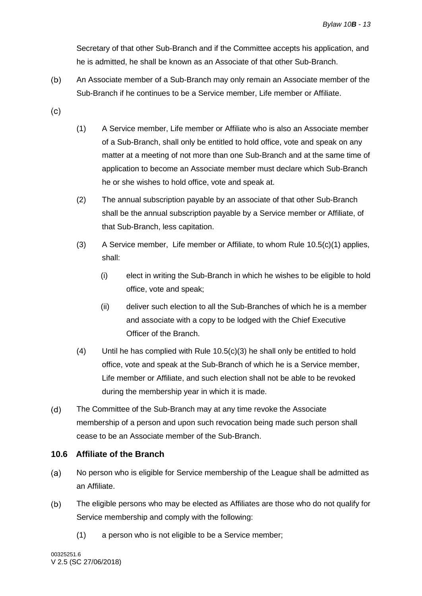Secretary of that other Sub-Branch and if the Committee accepts his application, and he is admitted, he shall be known as an Associate of that other Sub-Branch.

- $(b)$ An Associate member of a Sub-Branch may only remain an Associate member of the Sub-Branch if he continues to be a Service member, Life member or Affiliate.
- <span id="page-16-1"></span> $(c)$
- (1) A Service member, Life member or Affiliate who is also an Associate member of a Sub-Branch, shall only be entitled to hold office, vote and speak on any matter at a meeting of not more than one Sub-Branch and at the same time of application to become an Associate member must declare which Sub-Branch he or she wishes to hold office, vote and speak at.
- (2) The annual subscription payable by an associate of that other Sub-Branch shall be the annual subscription payable by a Service member or Affiliate, of that Sub-Branch, less capitation.
- <span id="page-16-2"></span>(3) A Service member, Life member or Affiliate, to whom Rule [10.5\(c\)\(1\)](#page-16-1) applies, shall:
	- (i) elect in writing the Sub-Branch in which he wishes to be eligible to hold office, vote and speak;
	- (ii) deliver such election to all the Sub-Branches of which he is a member and associate with a copy to be lodged with the Chief Executive Officer of the Branch.
- (4) Until he has complied with Rule [10.5\(c\)\(3\)](#page-16-2) he shall only be entitled to hold office, vote and speak at the Sub-Branch of which he is a Service member, Life member or Affiliate, and such election shall not be able to be revoked during the membership year in which it is made.
- $(d)$ The Committee of the Sub-Branch may at any time revoke the Associate membership of a person and upon such revocation being made such person shall cease to be an Associate member of the Sub-Branch.

### <span id="page-16-0"></span>**10.6 Affiliate of the Branch**

- $(a)$ No person who is eligible for Service membership of the League shall be admitted as an Affiliate.
- $(b)$ The eligible persons who may be elected as Affiliates are those who do not qualify for Service membership and comply with the following:
	- (1) a person who is not eligible to be a Service member;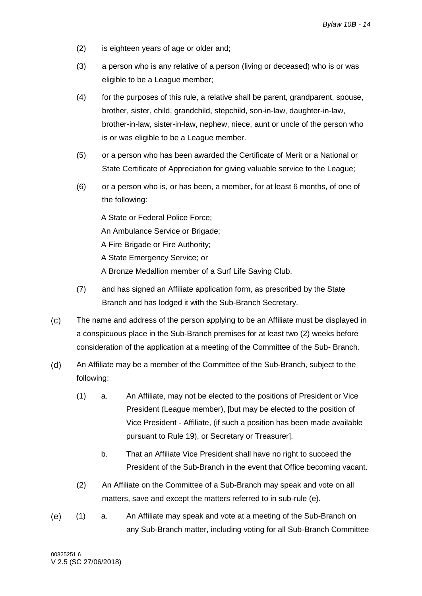- (2) is eighteen years of age or older and;
- (3) a person who is any relative of a person (living or deceased) who is or was eligible to be a League member;
- (4) for the purposes of this rule, a relative shall be parent, grandparent, spouse, brother, sister, child, grandchild, stepchild, son-in-law, daughter-in-law, brother-in-law, sister-in-law, nephew, niece, aunt or uncle of the person who is or was eligible to be a League member.
- (5) or a person who has been awarded the Certificate of Merit or a National or State Certificate of Appreciation for giving valuable service to the League;
- (6) or a person who is, or has been, a member, for at least 6 months, of one of the following:

A State or Federal Police Force;

An Ambulance Service or Brigade;

A Fire Brigade or Fire Authority;

A State Emergency Service; or

- A Bronze Medallion member of a Surf Life Saving Club.
- (7) and has signed an Affiliate application form, as prescribed by the State Branch and has lodged it with the Sub-Branch Secretary.
- $(c)$ The name and address of the person applying to be an Affiliate must be displayed in a conspicuous place in the Sub-Branch premises for at least two (2) weeks before consideration of the application at a meeting of the Committee of the Sub- Branch.
- <span id="page-17-1"></span> $(d)$ An Affiliate may be a member of the Committee of the Sub-Branch, subject to the following:
	- (1) a. An Affiliate, may not be elected to the positions of President or Vice President (League member), [but may be elected to the position of Vice President - Affiliate, (if such a position has been made available pursuant to Rule [19\)](#page-28-0), or Secretary or Treasurer].
		- b. That an Affiliate Vice President shall have no right to succeed the President of the Sub-Branch in the event that Office becoming vacant.
	- (2) An Affiliate on the Committee of a Sub-Branch may speak and vote on all matters, save and except the matters referred to in sub-rule [\(e\).](#page-17-0)
- <span id="page-17-0"></span> $(e)$ (1) a. An Affiliate may speak and vote at a meeting of the Sub-Branch on any Sub-Branch matter, including voting for all Sub-Branch Committee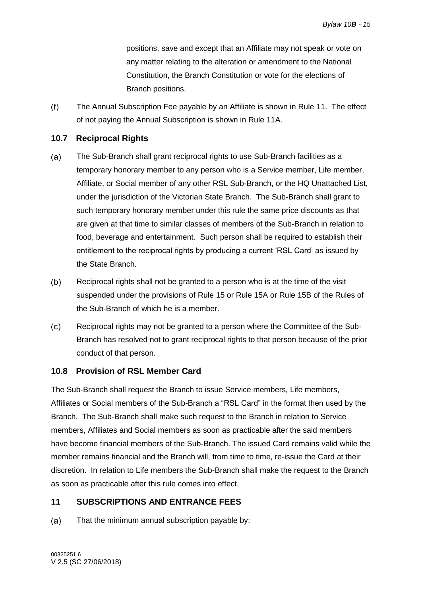positions, save and except that an Affiliate may not speak or vote on any matter relating to the alteration or amendment to the National Constitution, the Branch Constitution or vote for the elections of Branch positions.

 $(f)$ The Annual Subscription Fee payable by an Affiliate is shown in Rule [11.](#page-18-2) The effect of not paying the Annual Subscription is shown in Rule 11A.

### <span id="page-18-0"></span>**10.7 Reciprocal Rights**

- $(a)$ The Sub-Branch shall grant reciprocal rights to use Sub-Branch facilities as a temporary honorary member to any person who is a Service member, Life member, Affiliate, or Social member of any other RSL Sub-Branch, or the HQ Unattached List, under the jurisdiction of the Victorian State Branch. The Sub-Branch shall grant to such temporary honorary member under this rule the same price discounts as that are given at that time to similar classes of members of the Sub-Branch in relation to food, beverage and entertainment. Such person shall be required to establish their entitlement to the reciprocal rights by producing a current 'RSL Card' as issued by the State Branch.
- $(b)$ Reciprocal rights shall not be granted to a person who is at the time of the visit suspended under the provisions of Rule [15](#page-21-2) or Rule 15A or Rule 15B of the Rules of the Sub-Branch of which he is a member.
- $(c)$ Reciprocal rights may not be granted to a person where the Committee of the Sub-Branch has resolved not to grant reciprocal rights to that person because of the prior conduct of that person.

### <span id="page-18-1"></span>**10.8 Provision of RSL Member Card**

The Sub-Branch shall request the Branch to issue Service members, Life members, Affiliates or Social members of the Sub-Branch a "RSL Card" in the format then used by the Branch. The Sub-Branch shall make such request to the Branch in relation to Service members, Affiliates and Social members as soon as practicable after the said members have become financial members of the Sub-Branch. The issued Card remains valid while the member remains financial and the Branch will, from time to time, re-issue the Card at their discretion. In relation to Life members the Sub-Branch shall make the request to the Branch as soon as practicable after this rule comes into effect.

### <span id="page-18-2"></span>**11 SUBSCRIPTIONS AND ENTRANCE FEES**

 $(a)$ That the minimum annual subscription payable by: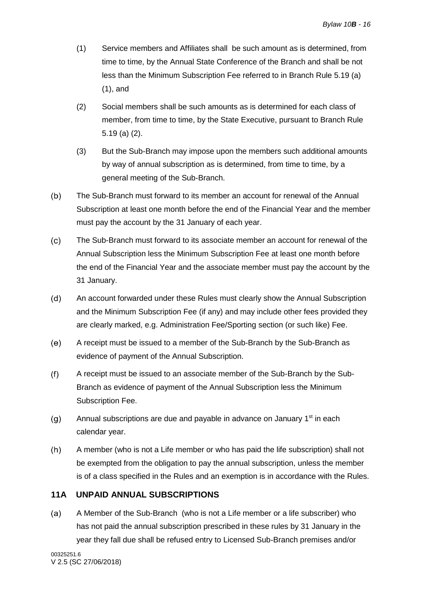- (1) Service members and Affiliates shall be such amount as is determined, from time to time, by the Annual State Conference of the Branch and shall be not less than the Minimum Subscription Fee referred to in Branch Rule 5.19 (a) (1), and
- (2) Social members shall be such amounts as is determined for each class of member, from time to time, by the State Executive, pursuant to Branch Rule 5.19 (a) (2).
- (3) But the Sub-Branch may impose upon the members such additional amounts by way of annual subscription as is determined, from time to time, by a general meeting of the Sub-Branch.
- $(b)$ The Sub-Branch must forward to its member an account for renewal of the Annual Subscription at least one month before the end of the Financial Year and the member must pay the account by the 31 January of each year.
- $(c)$ The Sub-Branch must forward to its associate member an account for renewal of the Annual Subscription less the Minimum Subscription Fee at least one month before the end of the Financial Year and the associate member must pay the account by the 31 January.
- $(d)$ An account forwarded under these Rules must clearly show the Annual Subscription and the Minimum Subscription Fee (if any) and may include other fees provided they are clearly marked, e.g. Administration Fee/Sporting section (or such like) Fee.
- $(e)$ A receipt must be issued to a member of the Sub-Branch by the Sub-Branch as evidence of payment of the Annual Subscription.
- $(f)$ A receipt must be issued to an associate member of the Sub-Branch by the Sub-Branch as evidence of payment of the Annual Subscription less the Minimum Subscription Fee.
- $(g)$ Annual subscriptions are due and payable in advance on January 1<sup>st</sup> in each calendar year.
- $(h)$ A member (who is not a Life member or who has paid the life subscription) shall not be exempted from the obligation to pay the annual subscription, unless the member is of a class specified in the Rules and an exemption is in accordance with the Rules.

### <span id="page-19-0"></span>**11A UNPAID ANNUAL SUBSCRIPTIONS**

A Member of the Sub-Branch (who is not a Life member or a life subscriber) who  $(a)$ has not paid the annual subscription prescribed in these rules by 31 January in the year they fall due shall be refused entry to Licensed Sub-Branch premises and/or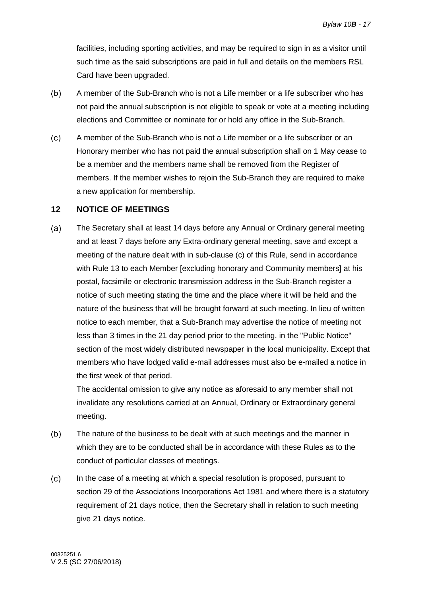facilities, including sporting activities, and may be required to sign in as a visitor until such time as the said subscriptions are paid in full and details on the members RSL Card have been upgraded.

- A member of the Sub-Branch who is not a Life member or a life subscriber who has  $(b)$ not paid the annual subscription is not eligible to speak or vote at a meeting including elections and Committee or nominate for or hold any office in the Sub-Branch.
- $(c)$ A member of the Sub-Branch who is not a Life member or a life subscriber or an Honorary member who has not paid the annual subscription shall on 1 May cease to be a member and the members name shall be removed from the Register of members. If the member wishes to rejoin the Sub-Branch they are required to make a new application for membership.

### <span id="page-20-0"></span>**12 NOTICE OF MEETINGS**

 $(a)$ The Secretary shall at least 14 days before any Annual or Ordinary general meeting and at least 7 days before any Extra-ordinary general meeting, save and except a meeting of the nature dealt with in sub-clause (c) of this Rule, send in accordance with Rule [13](#page-21-0) to each Member [excluding honorary and Community members] at his postal, facsimile or electronic transmission address in the Sub-Branch register a notice of such meeting stating the time and the place where it will be held and the nature of the business that will be brought forward at such meeting. In lieu of written notice to each member, that a Sub-Branch may advertise the notice of meeting not less than 3 times in the 21 day period prior to the meeting, in the "Public Notice" section of the most widely distributed newspaper in the local municipality. Except that members who have lodged valid e-mail addresses must also be e-mailed a notice in the first week of that period.

The accidental omission to give any notice as aforesaid to any member shall not invalidate any resolutions carried at an Annual, Ordinary or Extraordinary general meeting.

- $(b)$ The nature of the business to be dealt with at such meetings and the manner in which they are to be conducted shall be in accordance with these Rules as to the conduct of particular classes of meetings.
- $(c)$ In the case of a meeting at which a special resolution is proposed, pursuant to section 29 of the Associations Incorporations Act 1981 and where there is a statutory requirement of 21 days notice, then the Secretary shall in relation to such meeting give 21 days notice.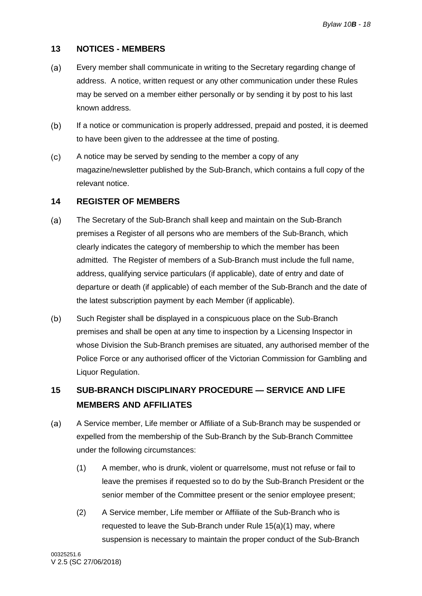### <span id="page-21-0"></span>**13 NOTICES - MEMBERS**

- Every member shall communicate in writing to the Secretary regarding change of  $(a)$ address. A notice, written request or any other communication under these Rules may be served on a member either personally or by sending it by post to his last known address.
- $(b)$ If a notice or communication is properly addressed, prepaid and posted, it is deemed to have been given to the addressee at the time of posting.
- $(c)$ A notice may be served by sending to the member a copy of any magazine/newsletter published by the Sub-Branch, which contains a full copy of the relevant notice.

#### <span id="page-21-1"></span>**14 REGISTER OF MEMBERS**

- $(a)$ The Secretary of the Sub-Branch shall keep and maintain on the Sub-Branch premises a Register of all persons who are members of the Sub-Branch, which clearly indicates the category of membership to which the member has been admitted. The Register of members of a Sub-Branch must include the full name, address, qualifying service particulars (if applicable), date of entry and date of departure or death (if applicable) of each member of the Sub-Branch and the date of the latest subscription payment by each Member (if applicable).
- $(b)$ Such Register shall be displayed in a conspicuous place on the Sub-Branch premises and shall be open at any time to inspection by a Licensing Inspector in whose Division the Sub-Branch premises are situated, any authorised member of the Police Force or any authorised officer of the Victorian Commission for Gambling and Liquor Regulation.

### <span id="page-21-2"></span>**15 SUB-BRANCH DISCIPLINARY PROCEDURE — SERVICE AND LIFE MEMBERS AND AFFILIATES**

- <span id="page-21-4"></span><span id="page-21-3"></span> $(a)$ A Service member, Life member or Affiliate of a Sub-Branch may be suspended or expelled from the membership of the Sub-Branch by the Sub-Branch Committee under the following circumstances:
	- (1) A member, who is drunk, violent or quarrelsome, must not refuse or fail to leave the premises if requested so to do by the Sub-Branch President or the senior member of the Committee present or the senior employee present;
	- (2) A Service member, Life member or Affiliate of the Sub-Branch who is requested to leave the Sub-Branch under Rule [15\(a\)\(1\)](#page-21-3) may, where suspension is necessary to maintain the proper conduct of the Sub-Branch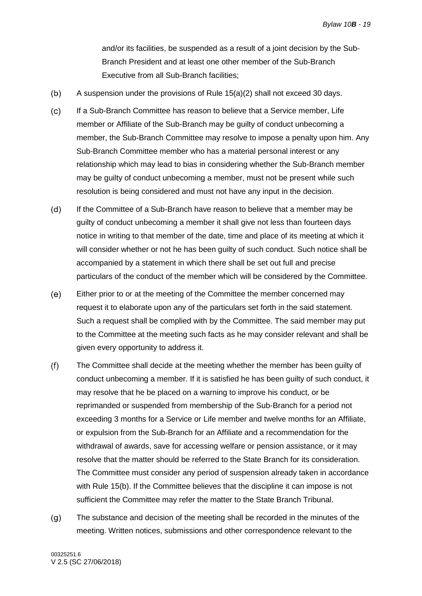and/or its facilities, be suspended as a result of a joint decision by the Sub-Branch President and at least one other member of the Sub-Branch Executive from all Sub-Branch facilities;

- <span id="page-22-0"></span> $(b)$ A suspension under the provisions of Rule [15\(a\)\(2\)](#page-21-4) shall not exceed 30 days.
- $(c)$ If a Sub-Branch Committee has reason to believe that a Service member, Life member or Affiliate of the Sub-Branch may be guilty of conduct unbecoming a member, the Sub-Branch Committee may resolve to impose a penalty upon him. Any Sub-Branch Committee member who has a material personal interest or any relationship which may lead to bias in considering whether the Sub-Branch member may be guilty of conduct unbecoming a member, must not be present while such resolution is being considered and must not have any input in the decision.
- $(d)$ If the Committee of a Sub-Branch have reason to believe that a member may be guilty of conduct unbecoming a member it shall give not less than fourteen days notice in writing to that member of the date, time and place of its meeting at which it will consider whether or not he has been guilty of such conduct. Such notice shall be accompanied by a statement in which there shall be set out full and precise particulars of the conduct of the member which will be considered by the Committee.
- $(e)$ Either prior to or at the meeting of the Committee the member concerned may request it to elaborate upon any of the particulars set forth in the said statement. Such a request shall be complied with by the Committee. The said member may put to the Committee at the meeting such facts as he may consider relevant and shall be given every opportunity to address it.
- $(f)$ The Committee shall decide at the meeting whether the member has been guilty of conduct unbecoming a member. If it is satisfied he has been guilty of such conduct, it may resolve that he be placed on a warning to improve his conduct, or be reprimanded or suspended from membership of the Sub-Branch for a period not exceeding 3 months for a Service or Life member and twelve months for an Affiliate, or expulsion from the Sub-Branch for an Affiliate and a recommendation for the withdrawal of awards, save for accessing welfare or pension assistance, or it may resolve that the matter should be referred to the State Branch for its consideration. The Committee must consider any period of suspension already taken in accordance with Rule [15\(b\).](#page-22-0) If the Committee believes that the discipline it can impose is not sufficient the Committee may refer the matter to the State Branch Tribunal.
- $(q)$ The substance and decision of the meeting shall be recorded in the minutes of the meeting. Written notices, submissions and other correspondence relevant to the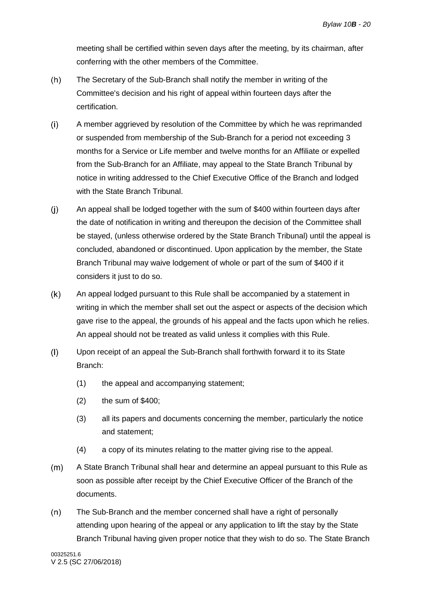meeting shall be certified within seven days after the meeting, by its chairman, after conferring with the other members of the Committee.

- $(h)$ The Secretary of the Sub-Branch shall notify the member in writing of the Committee's decision and his right of appeal within fourteen days after the certification.
- $(i)$ A member aggrieved by resolution of the Committee by which he was reprimanded or suspended from membership of the Sub-Branch for a period not exceeding 3 months for a Service or Life member and twelve months for an Affiliate or expelled from the Sub-Branch for an Affiliate, may appeal to the State Branch Tribunal by notice in writing addressed to the Chief Executive Office of the Branch and lodged with the State Branch Tribunal.
- $(i)$ An appeal shall be lodged together with the sum of \$400 within fourteen days after the date of notification in writing and thereupon the decision of the Committee shall be stayed, (unless otherwise ordered by the State Branch Tribunal) until the appeal is concluded, abandoned or discontinued. Upon application by the member, the State Branch Tribunal may waive lodgement of whole or part of the sum of \$400 if it considers it just to do so.
- $(k)$ An appeal lodged pursuant to this Rule shall be accompanied by a statement in writing in which the member shall set out the aspect or aspects of the decision which gave rise to the appeal, the grounds of his appeal and the facts upon which he relies. An appeal should not be treated as valid unless it complies with this Rule.
- $(1)$ Upon receipt of an appeal the Sub-Branch shall forthwith forward it to its State Branch:
	- (1) the appeal and accompanying statement;
	- (2) the sum of \$400;
	- (3) all its papers and documents concerning the member, particularly the notice and statement;
	- (4) a copy of its minutes relating to the matter giving rise to the appeal.
- $(m)$ A State Branch Tribunal shall hear and determine an appeal pursuant to this Rule as soon as possible after receipt by the Chief Executive Officer of the Branch of the documents.
- $(n)$ The Sub-Branch and the member concerned shall have a right of personally attending upon hearing of the appeal or any application to lift the stay by the State Branch Tribunal having given proper notice that they wish to do so. The State Branch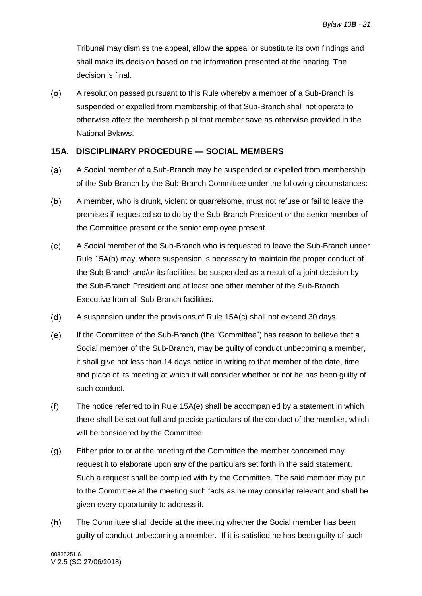Tribunal may dismiss the appeal, allow the appeal or substitute its own findings and shall make its decision based on the information presented at the hearing. The decision is final.

 $(0)$ A resolution passed pursuant to this Rule whereby a member of a Sub-Branch is suspended or expelled from membership of that Sub-Branch shall not operate to otherwise affect the membership of that member save as otherwise provided in the National Bylaws.

### <span id="page-24-0"></span>**15A. DISCIPLINARY PROCEDURE — SOCIAL MEMBERS**

- A Social member of a Sub-Branch may be suspended or expelled from membership  $(a)$ of the Sub-Branch by the Sub-Branch Committee under the following circumstances:
- $(b)$ A member, who is drunk, violent or quarrelsome, must not refuse or fail to leave the premises if requested so to do by the Sub-Branch President or the senior member of the Committee present or the senior employee present.
- $(c)$ A Social member of the Sub-Branch who is requested to leave the Sub-Branch under Rule 15A(b) may, where suspension is necessary to maintain the proper conduct of the Sub-Branch and/or its facilities, be suspended as a result of a joint decision by the Sub-Branch President and at least one other member of the Sub-Branch Executive from all Sub-Branch facilities.
- $(d)$ A suspension under the provisions of Rule 15A(c) shall not exceed 30 days.
- $(e)$ If the Committee of the Sub-Branch (the "Committee") has reason to believe that a Social member of the Sub-Branch, may be guilty of conduct unbecoming a member, it shall give not less than 14 days notice in writing to that member of the date, time and place of its meeting at which it will consider whether or not he has been guilty of such conduct.
- $(f)$ The notice referred to in Rule 15A(e) shall be accompanied by a statement in which there shall be set out full and precise particulars of the conduct of the member, which will be considered by the Committee.
- Either prior to or at the meeting of the Committee the member concerned may  $(g)$ request it to elaborate upon any of the particulars set forth in the said statement. Such a request shall be complied with by the Committee. The said member may put to the Committee at the meeting such facts as he may consider relevant and shall be given every opportunity to address it.
- $(h)$ The Committee shall decide at the meeting whether the Social member has been guilty of conduct unbecoming a member. If it is satisfied he has been guilty of such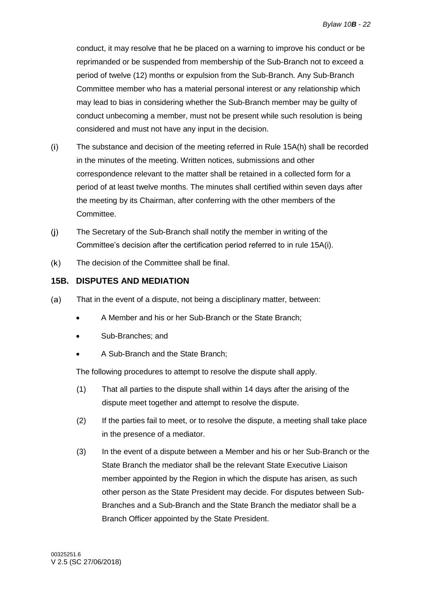conduct, it may resolve that he be placed on a warning to improve his conduct or be reprimanded or be suspended from membership of the Sub-Branch not to exceed a period of twelve (12) months or expulsion from the Sub-Branch. Any Sub-Branch Committee member who has a material personal interest or any relationship which may lead to bias in considering whether the Sub-Branch member may be guilty of conduct unbecoming a member, must not be present while such resolution is being considered and must not have any input in the decision.

- $(i)$ The substance and decision of the meeting referred in Rule 15A(h) shall be recorded in the minutes of the meeting. Written notices, submissions and other correspondence relevant to the matter shall be retained in a collected form for a period of at least twelve months. The minutes shall certified within seven days after the meeting by its Chairman, after conferring with the other members of the Committee.
- $(i)$ The Secretary of the Sub-Branch shall notify the member in writing of the Committee's decision after the certification period referred to in rule 15A(i).
- The decision of the Committee shall be final.  $(k)$

### <span id="page-25-0"></span>**15B. DISPUTES AND MEDIATION**

- $(a)$ That in the event of a dispute, not being a disciplinary matter, between:
	- A Member and his or her Sub-Branch or the State Branch;
	- Sub-Branches; and
	- A Sub-Branch and the State Branch;

The following procedures to attempt to resolve the dispute shall apply.

- (1) That all parties to the dispute shall within 14 days after the arising of the dispute meet together and attempt to resolve the dispute.
- (2) If the parties fail to meet, or to resolve the dispute, a meeting shall take place in the presence of a mediator.
- (3) In the event of a dispute between a Member and his or her Sub-Branch or the State Branch the mediator shall be the relevant State Executive Liaison member appointed by the Region in which the dispute has arisen, as such other person as the State President may decide. For disputes between Sub-Branches and a Sub-Branch and the State Branch the mediator shall be a Branch Officer appointed by the State President.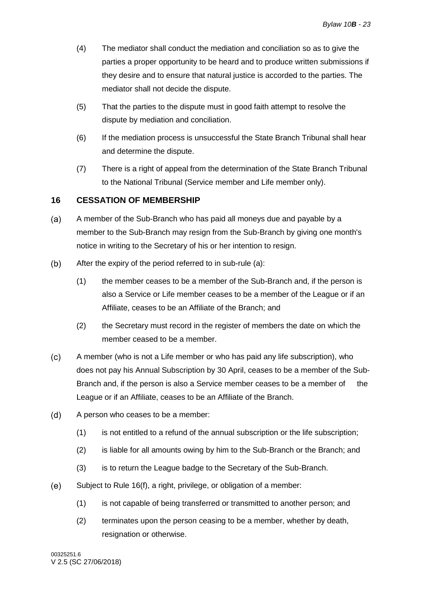- (4) The mediator shall conduct the mediation and conciliation so as to give the parties a proper opportunity to be heard and to produce written submissions if they desire and to ensure that natural justice is accorded to the parties. The mediator shall not decide the dispute.
- (5) That the parties to the dispute must in good faith attempt to resolve the dispute by mediation and conciliation.
- (6) If the mediation process is unsuccessful the State Branch Tribunal shall hear and determine the dispute.
- (7) There is a right of appeal from the determination of the State Branch Tribunal to the National Tribunal (Service member and Life member only).

### <span id="page-26-0"></span>**16 CESSATION OF MEMBERSHIP**

- <span id="page-26-1"></span>A member of the Sub-Branch who has paid all moneys due and payable by a  $(a)$ member to the Sub-Branch may resign from the Sub-Branch by giving one month's notice in writing to the Secretary of his or her intention to resign.
- $(b)$ After the expiry of the period referred to in sub-rule [\(a\):](#page-26-1)
	- (1) the member ceases to be a member of the Sub-Branch and, if the person is also a Service or Life member ceases to be a member of the League or if an Affiliate, ceases to be an Affiliate of the Branch; and
	- (2) the Secretary must record in the register of members the date on which the member ceased to be a member.
- A member (who is not a Life member or who has paid any life subscription), who  $(c)$ does not pay his Annual Subscription by 30 April, ceases to be a member of the Sub-Branch and, if the person is also a Service member ceases to be a member of the League or if an Affiliate, ceases to be an Affiliate of the Branch.
- $(d)$ A person who ceases to be a member:
	- (1) is not entitled to a refund of the annual subscription or the life subscription;
	- (2) is liable for all amounts owing by him to the Sub-Branch or the Branch; and
	- (3) is to return the League badge to the Secretary of the Sub-Branch.
- <span id="page-26-2"></span> $(e)$ Subject to Rule [16\(f\),](#page-27-2) a right, privilege, or obligation of a member:
	- (1) is not capable of being transferred or transmitted to another person; and
	- (2) terminates upon the person ceasing to be a member, whether by death, resignation or otherwise.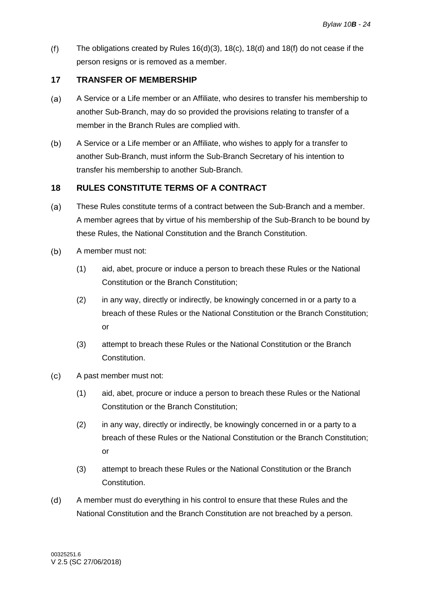<span id="page-27-2"></span> $(f)$ The obligations created by Rules  $16(d)(3)$ ,  $18(c)$ ,  $18(d)$  and  $18(f)$  do not cease if the person resigns or is removed as a member.

### <span id="page-27-0"></span>**17 TRANSFER OF MEMBERSHIP**

- $(a)$ A Service or a Life member or an Affiliate, who desires to transfer his membership to another Sub-Branch, may do so provided the provisions relating to transfer of a member in the Branch Rules are complied with.
- $(b)$ A Service or a Life member or an Affiliate, who wishes to apply for a transfer to another Sub-Branch, must inform the Sub-Branch Secretary of his intention to transfer his membership to another Sub-Branch.

### <span id="page-27-1"></span>**18 RULES CONSTITUTE TERMS OF A CONTRACT**

- $(a)$ These Rules constitute terms of a contract between the Sub-Branch and a member. A member agrees that by virtue of his membership of the Sub-Branch to be bound by these Rules, the National Constitution and the Branch Constitution.
- $(b)$ A member must not:
	- (1) aid, abet, procure or induce a person to breach these Rules or the National Constitution or the Branch Constitution;
	- (2) in any way, directly or indirectly, be knowingly concerned in or a party to a breach of these Rules or the National Constitution or the Branch Constitution; or
	- (3) attempt to breach these Rules or the National Constitution or the Branch Constitution.
- <span id="page-27-3"></span> $(c)$ A past member must not:
	- (1) aid, abet, procure or induce a person to breach these Rules or the National Constitution or the Branch Constitution;
	- (2) in any way, directly or indirectly, be knowingly concerned in or a party to a breach of these Rules or the National Constitution or the Branch Constitution; or
	- (3) attempt to breach these Rules or the National Constitution or the Branch Constitution.
- <span id="page-27-4"></span>A member must do everything in his control to ensure that these Rules and the  $(d)$ National Constitution and the Branch Constitution are not breached by a person.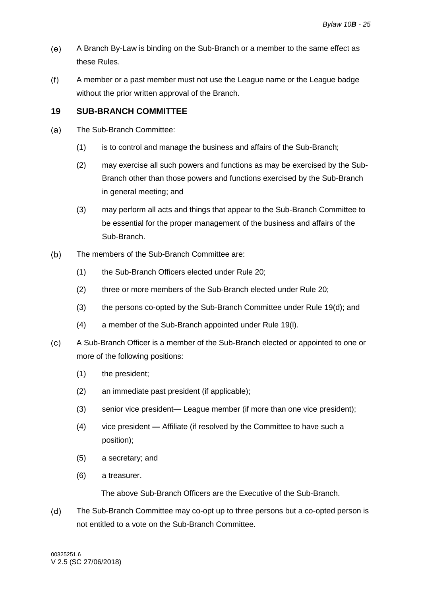- $(e)$ A Branch By-Law is binding on the Sub-Branch or a member to the same effect as these Rules.
- <span id="page-28-1"></span> $(f)$ A member or a past member must not use the League name or the League badge without the prior written approval of the Branch.

### <span id="page-28-0"></span>**19 SUB-BRANCH COMMITTEE**

- $(a)$ The Sub-Branch Committee:
	- (1) is to control and manage the business and affairs of the Sub-Branch;
	- (2) may exercise all such powers and functions as may be exercised by the Sub-Branch other than those powers and functions exercised by the Sub-Branch in general meeting; and
	- (3) may perform all acts and things that appear to the Sub-Branch Committee to be essential for the proper management of the business and affairs of the Sub-Branch.
- <span id="page-28-3"></span> $(b)$ The members of the Sub-Branch Committee are:
	- (1) the Sub-Branch Officers elected under Rule [20;](#page-37-0)
	- (2) three or more members of the Sub-Branch elected under Rule [20;](#page-37-0)
	- (3) the persons co-opted by the Sub-Branch Committee under Rule [19\(d\);](#page-28-2) and
	- (4) a member of the Sub-Branch appointed under Rule [19\(l\).](#page-30-0)
- $(c)$ A Sub-Branch Officer is a member of the Sub-Branch elected or appointed to one or more of the following positions:
	- (1) the president;
	- (2) an immediate past president (if applicable);
	- (3) senior vice president— League member (if more than one vice president);
	- (4) vice president **—** Affiliate (if resolved by the Committee to have such a position);
	- (5) a secretary; and
	- (6) a treasurer.

The above Sub-Branch Officers are the Executive of the Sub-Branch.

<span id="page-28-2"></span> $(d)$ The Sub-Branch Committee may co-opt up to three persons but a co-opted person is not entitled to a vote on the Sub-Branch Committee.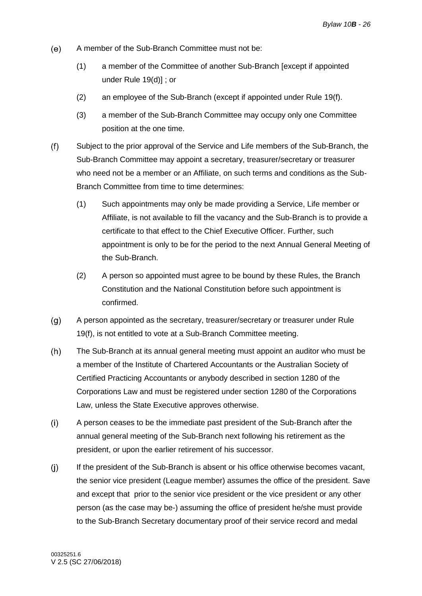- $(e)$ A member of the Sub-Branch Committee must not be:
	- (1) a member of the Committee of another Sub-Branch [except if appointed under Rule [19\(d\)\]](#page-28-2) ; or
	- (2) an employee of the Sub-Branch (except if appointed under Rule [19\(f\).](#page-29-1)
	- (3) a member of the Sub-Branch Committee may occupy only one Committee position at the one time.
- <span id="page-29-1"></span> $(f)$ Subject to the prior approval of the Service and Life members of the Sub-Branch, the Sub-Branch Committee may appoint a secretary, treasurer/secretary or treasurer who need not be a member or an Affiliate, on such terms and conditions as the Sub-Branch Committee from time to time determines:
	- (1) Such appointments may only be made providing a Service, Life member or Affiliate, is not available to fill the vacancy and the Sub-Branch is to provide a certificate to that effect to the Chief Executive Officer. Further, such appointment is only to be for the period to the next Annual General Meeting of the Sub-Branch.
	- (2) A person so appointed must agree to be bound by these Rules, the Branch Constitution and the National Constitution before such appointment is confirmed.
- <span id="page-29-0"></span> $(g)$ A person appointed as the secretary, treasurer/secretary or treasurer under Rule [19\(f\),](#page-29-1) is not entitled to vote at a Sub-Branch Committee meeting.
- $(h)$ The Sub-Branch at its annual general meeting must appoint an auditor who must be a member of the Institute of Chartered Accountants or the Australian Society of Certified Practicing Accountants or anybody described in section 1280 of the Corporations Law and must be registered under section 1280 of the Corporations Law, unless the State Executive approves otherwise.
- $(i)$ A person ceases to be the immediate past president of the Sub-Branch after the annual general meeting of the Sub-Branch next following his retirement as the president, or upon the earlier retirement of his successor.
- $(j)$ If the president of the Sub-Branch is absent or his office otherwise becomes vacant, the senior vice president (League member) assumes the office of the president. Save and except that prior to the senior vice president or the vice president or any other person (as the case may be-) assuming the office of president he/she must provide to the Sub-Branch Secretary documentary proof of their service record and medal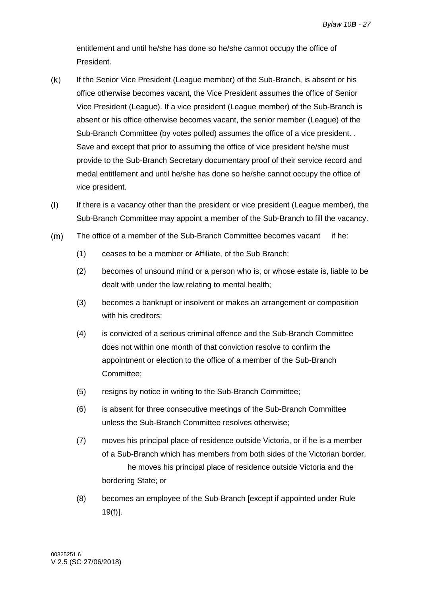entitlement and until he/she has done so he/she cannot occupy the office of President.

- $(k)$ If the Senior Vice President (League member) of the Sub-Branch, is absent or his office otherwise becomes vacant, the Vice President assumes the office of Senior Vice President (League). If a vice president (League member) of the Sub-Branch is absent or his office otherwise becomes vacant, the senior member (League) of the Sub-Branch Committee (by votes polled) assumes the office of a vice president. . Save and except that prior to assuming the office of vice president he/she must provide to the Sub-Branch Secretary documentary proof of their service record and medal entitlement and until he/she has done so he/she cannot occupy the office of vice president.
- <span id="page-30-0"></span> $(1)$ If there is a vacancy other than the president or vice president (League member), the Sub-Branch Committee may appoint a member of the Sub-Branch to fill the vacancy.
- $(m)$ The office of a member of the Sub-Branch Committee becomes vacant if he:
	- (1) ceases to be a member or Affiliate, of the Sub Branch;
	- (2) becomes of unsound mind or a person who is, or whose estate is, liable to be dealt with under the law relating to mental health;
	- (3) becomes a bankrupt or insolvent or makes an arrangement or composition with his creditors;
	- (4) is convicted of a serious criminal offence and the Sub-Branch Committee does not within one month of that conviction resolve to confirm the appointment or election to the office of a member of the Sub-Branch Committee;
	- (5) resigns by notice in writing to the Sub-Branch Committee;
	- (6) is absent for three consecutive meetings of the Sub-Branch Committee unless the Sub-Branch Committee resolves otherwise;
	- (7) moves his principal place of residence outside Victoria, or if he is a member of a Sub-Branch which has members from both sides of the Victorian border, he moves his principal place of residence outside Victoria and the bordering State; or
	- (8) becomes an employee of the Sub-Branch [except if appointed under Rule [19\(f\)\]](#page-29-1).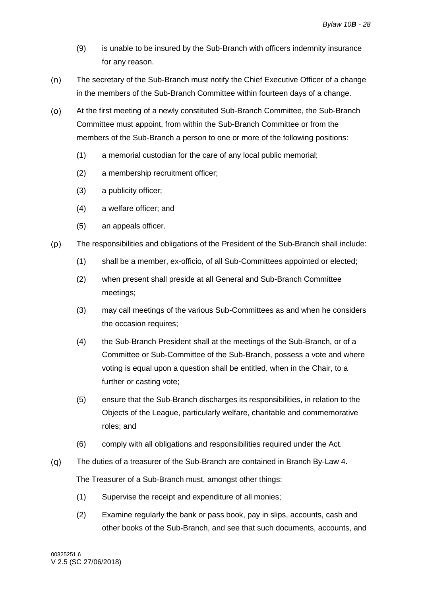- (9) is unable to be insured by the Sub-Branch with officers indemnity insurance for any reason.
- $(n)$ The secretary of the Sub-Branch must notify the Chief Executive Officer of a change in the members of the Sub-Branch Committee within fourteen days of a change.
- $(0)$ At the first meeting of a newly constituted Sub-Branch Committee, the Sub-Branch Committee must appoint, from within the Sub-Branch Committee or from the members of the Sub-Branch a person to one or more of the following positions:
	- (1) a memorial custodian for the care of any local public memorial;
	- (2) a membership recruitment officer;
	- (3) a publicity officer;
	- (4) a welfare officer; and
	- (5) an appeals officer.
- $(p)$ The responsibilities and obligations of the President of the Sub-Branch shall include:
	- (1) shall be a member, ex-officio, of all Sub-Committees appointed or elected;
	- (2) when present shall preside at all General and Sub-Branch Committee meetings;
	- (3) may call meetings of the various Sub-Committees as and when he considers the occasion requires;
	- (4) the Sub-Branch President shall at the meetings of the Sub-Branch, or of a Committee or Sub-Committee of the Sub-Branch, possess a vote and where voting is equal upon a question shall be entitled, when in the Chair, to a further or casting vote;
	- (5) ensure that the Sub-Branch discharges its responsibilities, in relation to the Objects of the League, particularly welfare, charitable and commemorative roles; and
	- (6) comply with all obligations and responsibilities required under the Act.
- $(q)$ The duties of a treasurer of the Sub-Branch are contained in Branch By-Law 4. The Treasurer of a Sub-Branch must, amongst other things:
	- (1) Supervise the receipt and expenditure of all monies;
	- (2) Examine regularly the bank or pass book, pay in slips, accounts, cash and other books of the Sub-Branch, and see that such documents, accounts, and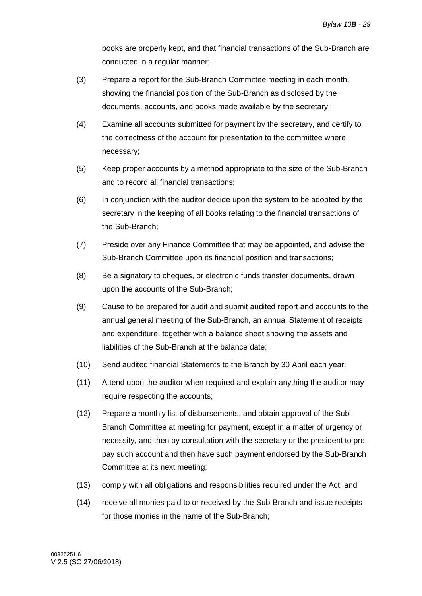books are properly kept, and that financial transactions of the Sub-Branch are conducted in a regular manner;

- (3) Prepare a report for the Sub-Branch Committee meeting in each month, showing the financial position of the Sub-Branch as disclosed by the documents, accounts, and books made available by the secretary;
- (4) Examine all accounts submitted for payment by the secretary, and certify to the correctness of the account for presentation to the committee where necessary;
- (5) Keep proper accounts by a method appropriate to the size of the Sub-Branch and to record all financial transactions;
- (6) In conjunction with the auditor decide upon the system to be adopted by the secretary in the keeping of all books relating to the financial transactions of the Sub-Branch;
- (7) Preside over any Finance Committee that may be appointed, and advise the Sub-Branch Committee upon its financial position and transactions;
- (8) Be a signatory to cheques, or electronic funds transfer documents, drawn upon the accounts of the Sub-Branch;
- (9) Cause to be prepared for audit and submit audited report and accounts to the annual general meeting of the Sub-Branch, an annual Statement of receipts and expenditure, together with a balance sheet showing the assets and liabilities of the Sub-Branch at the balance date;
- (10) Send audited financial Statements to the Branch by 30 April each year;
- (11) Attend upon the auditor when required and explain anything the auditor may require respecting the accounts;
- (12) Prepare a monthly list of disbursements, and obtain approval of the Sub-Branch Committee at meeting for payment, except in a matter of urgency or necessity, and then by consultation with the secretary or the president to prepay such account and then have such payment endorsed by the Sub-Branch Committee at its next meeting;
- (13) comply with all obligations and responsibilities required under the Act; and
- (14) receive all monies paid to or received by the Sub-Branch and issue receipts for those monies in the name of the Sub-Branch;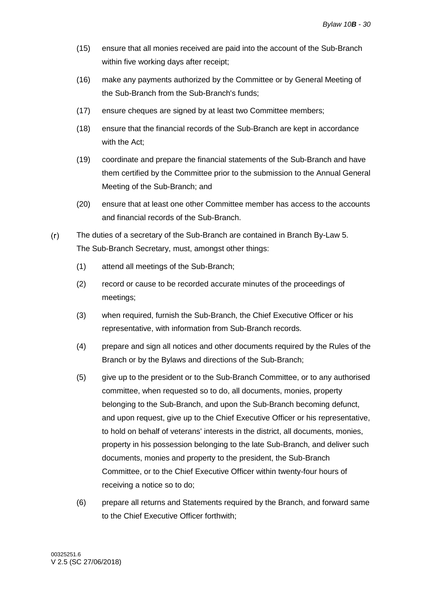- (15) ensure that all monies received are paid into the account of the Sub-Branch within five working days after receipt;
- (16) make any payments authorized by the Committee or by General Meeting of the Sub-Branch from the Sub-Branch's funds;
- (17) ensure cheques are signed by at least two Committee members;
- (18) ensure that the financial records of the Sub-Branch are kept in accordance with the Act;
- (19) coordinate and prepare the financial statements of the Sub-Branch and have them certified by the Committee prior to the submission to the Annual General Meeting of the Sub-Branch; and
- (20) ensure that at least one other Committee member has access to the accounts and financial records of the Sub-Branch.
- $(r)$ The duties of a secretary of the Sub-Branch are contained in Branch By-Law 5. The Sub-Branch Secretary, must, amongst other things:
	- (1) attend all meetings of the Sub-Branch;
	- (2) record or cause to be recorded accurate minutes of the proceedings of meetings;
	- (3) when required, furnish the Sub-Branch, the Chief Executive Officer or his representative, with information from Sub-Branch records.
	- (4) prepare and sign all notices and other documents required by the Rules of the Branch or by the Bylaws and directions of the Sub-Branch;
	- (5) give up to the president or to the Sub-Branch Committee, or to any authorised committee, when requested so to do, all documents, monies, property belonging to the Sub-Branch, and upon the Sub-Branch becoming defunct, and upon request, give up to the Chief Executive Officer or his representative, to hold on behalf of veterans' interests in the district, all documents, monies, property in his possession belonging to the late Sub-Branch, and deliver such documents, monies and property to the president, the Sub-Branch Committee, or to the Chief Executive Officer within twenty-four hours of receiving a notice so to do;
	- (6) prepare all returns and Statements required by the Branch, and forward same to the Chief Executive Officer forthwith;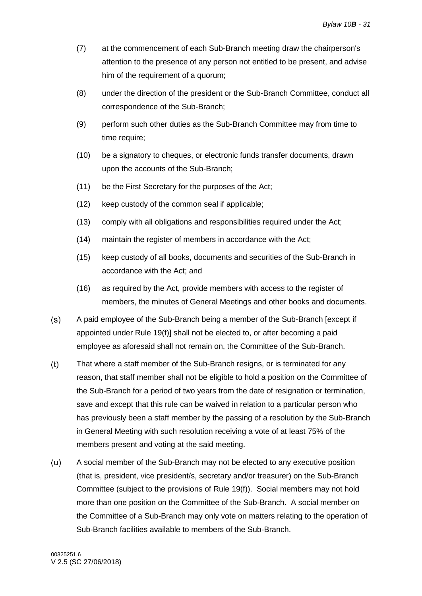- (7) at the commencement of each Sub-Branch meeting draw the chairperson's attention to the presence of any person not entitled to be present, and advise him of the requirement of a quorum;
- (8) under the direction of the president or the Sub-Branch Committee, conduct all correspondence of the Sub-Branch;
- (9) perform such other duties as the Sub-Branch Committee may from time to time require;
- (10) be a signatory to cheques, or electronic funds transfer documents, drawn upon the accounts of the Sub-Branch;
- (11) be the First Secretary for the purposes of the Act;
- (12) keep custody of the common seal if applicable;
- (13) comply with all obligations and responsibilities required under the Act;
- (14) maintain the register of members in accordance with the Act;
- (15) keep custody of all books, documents and securities of the Sub-Branch in accordance with the Act; and
- (16) as required by the Act, provide members with access to the register of members, the minutes of General Meetings and other books and documents.
- $(s)$ A paid employee of the Sub-Branch being a member of the Sub-Branch [except if appointed under Rule [19\(f\)\]](#page-29-1) shall not be elected to, or after becoming a paid employee as aforesaid shall not remain on, the Committee of the Sub-Branch.
- $(t)$ That where a staff member of the Sub-Branch resigns, or is terminated for any reason, that staff member shall not be eligible to hold a position on the Committee of the Sub-Branch for a period of two years from the date of resignation or termination, save and except that this rule can be waived in relation to a particular person who has previously been a staff member by the passing of a resolution by the Sub-Branch in General Meeting with such resolution receiving a vote of at least 75% of the members present and voting at the said meeting.
- $(u)$ A social member of the Sub-Branch may not be elected to any executive position (that is, president, vice president/s, secretary and/or treasurer) on the Sub-Branch Committee (subject to the provisions of Rule [19\(f\)\)](#page-29-1). Social members may not hold more than one position on the Committee of the Sub-Branch. A social member on the Committee of a Sub-Branch may only vote on matters relating to the operation of Sub-Branch facilities available to members of the Sub-Branch.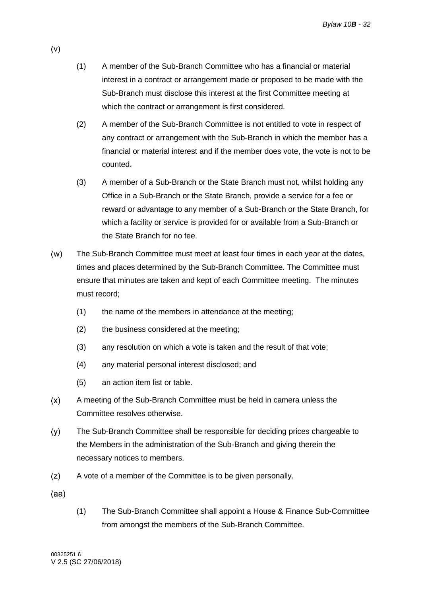- (1) A member of the Sub-Branch Committee who has a financial or material interest in a contract or arrangement made or proposed to be made with the Sub-Branch must disclose this interest at the first Committee meeting at which the contract or arrangement is first considered.
- (2) A member of the Sub-Branch Committee is not entitled to vote in respect of any contract or arrangement with the Sub-Branch in which the member has a financial or material interest and if the member does vote, the vote is not to be counted.
- (3) A member of a Sub-Branch or the State Branch must not, whilst holding any Office in a Sub-Branch or the State Branch, provide a service for a fee or reward or advantage to any member of a Sub-Branch or the State Branch, for which a facility or service is provided for or available from a Sub-Branch or the State Branch for no fee.
- $(w)$ The Sub-Branch Committee must meet at least four times in each year at the dates, times and places determined by the Sub-Branch Committee. The Committee must ensure that minutes are taken and kept of each Committee meeting. The minutes must record;
	- (1) the name of the members in attendance at the meeting;
	- (2) the business considered at the meeting;
	- (3) any resolution on which a vote is taken and the result of that vote;
	- (4) any material personal interest disclosed; and
	- (5) an action item list or table.
- $(x)$ A meeting of the Sub-Branch Committee must be held in camera unless the Committee resolves otherwise.
- $(y)$ The Sub-Branch Committee shall be responsible for deciding prices chargeable to the Members in the administration of the Sub-Branch and giving therein the necessary notices to members.
- $(z)$ A vote of a member of the Committee is to be given personally.
- $(aa)$
- (1) The Sub-Branch Committee shall appoint a House & Finance Sub-Committee from amongst the members of the Sub-Branch Committee.

 $(v)$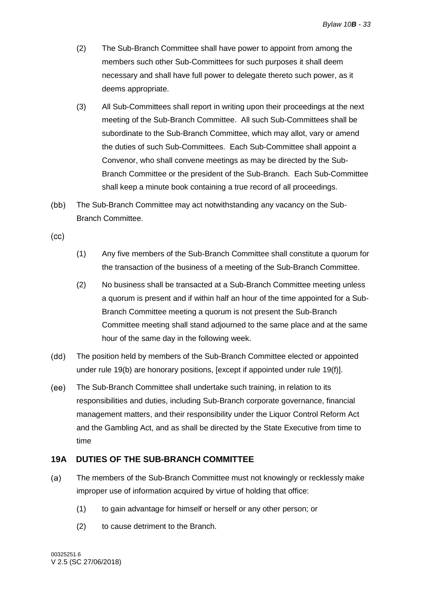- (2) The Sub-Branch Committee shall have power to appoint from among the members such other Sub-Committees for such purposes it shall deem necessary and shall have full power to delegate thereto such power, as it deems appropriate.
- (3) All Sub-Committees shall report in writing upon their proceedings at the next meeting of the Sub-Branch Committee. All such Sub-Committees shall be subordinate to the Sub-Branch Committee, which may allot, vary or amend the duties of such Sub-Committees. Each Sub-Committee shall appoint a Convenor, who shall convene meetings as may be directed by the Sub-Branch Committee or the president of the Sub-Branch. Each Sub-Committee shall keep a minute book containing a true record of all proceedings.
- $(bb)$ The Sub-Branch Committee may act notwithstanding any vacancy on the Sub-Branch Committee.

 $(cc)$ 

- (1) Any five members of the Sub-Branch Committee shall constitute a quorum for the transaction of the business of a meeting of the Sub-Branch Committee.
- (2) No business shall be transacted at a Sub-Branch Committee meeting unless a quorum is present and if within half an hour of the time appointed for a Sub-Branch Committee meeting a quorum is not present the Sub-Branch Committee meeting shall stand adjourned to the same place and at the same hour of the same day in the following week.
- $(dd)$ The position held by members of the Sub-Branch Committee elected or appointed under rule [19\(b\)](#page-28-3) are honorary positions, [except if appointed under rule [19\(f\)\]](#page-29-1).
- The Sub-Branch Committee shall undertake such training, in relation to its  $(ee)$ responsibilities and duties, including Sub-Branch corporate governance, financial management matters, and their responsibility under the Liquor Control Reform Act and the Gambling Act, and as shall be directed by the State Executive from time to time

### <span id="page-36-0"></span>**19A DUTIES OF THE SUB-BRANCH COMMITTEE**

- The members of the Sub-Branch Committee must not knowingly or recklessly make  $(a)$ improper use of information acquired by virtue of holding that office:
	- (1) to gain advantage for himself or herself or any other person; or
	- (2) to cause detriment to the Branch.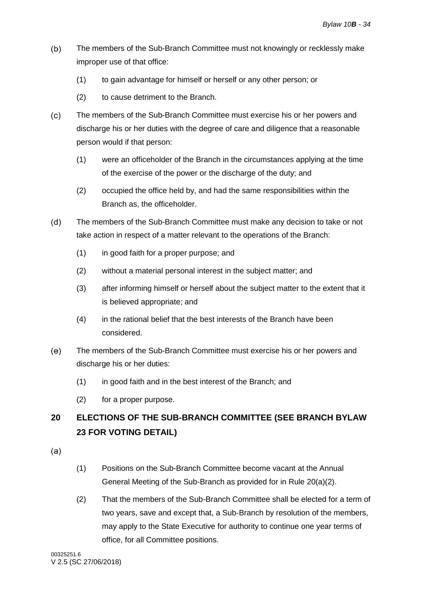- $(b)$ The members of the Sub-Branch Committee must not knowingly or recklessly make improper use of that office:
	- (1) to gain advantage for himself or herself or any other person; or
	- (2) to cause detriment to the Branch.
- $(c)$ The members of the Sub-Branch Committee must exercise his or her powers and discharge his or her duties with the degree of care and diligence that a reasonable person would if that person:
	- (1) were an officeholder of the Branch in the circumstances applying at the time of the exercise of the power or the discharge of the duty; and
	- (2) occupied the office held by, and had the same responsibilities within the Branch as, the officeholder.
- $(d)$ The members of the Sub-Branch Committee must make any decision to take or not take action in respect of a matter relevant to the operations of the Branch:
	- (1) in good faith for a proper purpose; and
	- (2) without a material personal interest in the subject matter; and
	- (3) after informing himself or herself about the subject matter to the extent that it is believed appropriate; and
	- (4) in the rational belief that the best interests of the Branch have been considered.
- $(e)$ The members of the Sub-Branch Committee must exercise his or her powers and discharge his or her duties:
	- (1) in good faith and in the best interest of the Branch; and
	- (2) for a proper purpose.

### <span id="page-37-0"></span>**20 ELECTIONS OF THE SUB-BRANCH COMMITTEE (SEE BRANCH BYLAW 23 FOR VOTING DETAIL)**

- <span id="page-37-3"></span><span id="page-37-2"></span> $(a)$
- (1) Positions on the Sub-Branch Committee become vacant at the Annual General Meeting of the Sub-Branch as provided for in Rule [20\(a\)\(2\).](#page-37-1)
- <span id="page-37-1"></span>(2) That the members of the Sub-Branch Committee shall be elected for a term of two years, save and except that, a Sub-Branch by resolution of the members, may apply to the State Executive for authority to continue one year terms of office, for all Committee positions.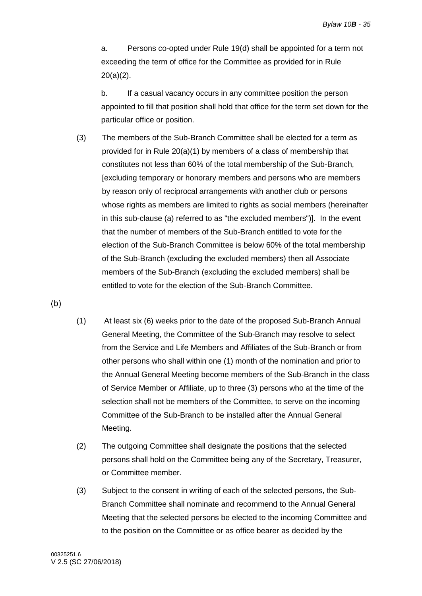a. Persons co-opted under Rule [19\(d\)](#page-28-2) shall be appointed for a term not exceeding the term of office for the Committee as provided for in Rule [20\(a\)\(2\).](#page-37-1)

b. If a casual vacancy occurs in any committee position the person appointed to fill that position shall hold that office for the term set down for the particular office or position.

(3) The members of the Sub-Branch Committee shall be elected for a term as provided for in Rule [20\(a\)\(1\)](#page-37-2) by members of a class of membership that constitutes not less than 60% of the total membership of the Sub-Branch, [excluding temporary or honorary members and persons who are members by reason only of reciprocal arrangements with another club or persons whose rights as members are limited to rights as social members (hereinafter in this sub-clause [\(a\)](#page-37-3) referred to as "the excluded members")]. In the event that the number of members of the Sub-Branch entitled to vote for the election of the Sub-Branch Committee is below 60% of the total membership of the Sub-Branch (excluding the excluded members) then all Associate members of the Sub-Branch (excluding the excluded members) shall be entitled to vote for the election of the Sub-Branch Committee.

<span id="page-38-0"></span> $(b)$ 

- (1) At least six (6) weeks prior to the date of the proposed Sub-Branch Annual General Meeting, the Committee of the Sub-Branch may resolve to select from the Service and Life Members and Affiliates of the Sub-Branch or from other persons who shall within one (1) month of the nomination and prior to the Annual General Meeting become members of the Sub-Branch in the class of Service Member or Affiliate, up to three (3) persons who at the time of the selection shall not be members of the Committee, to serve on the incoming Committee of the Sub-Branch to be installed after the Annual General Meeting.
- (2) The outgoing Committee shall designate the positions that the selected persons shall hold on the Committee being any of the Secretary, Treasurer, or Committee member.
- (3) Subject to the consent in writing of each of the selected persons, the Sub-Branch Committee shall nominate and recommend to the Annual General Meeting that the selected persons be elected to the incoming Committee and to the position on the Committee or as office bearer as decided by the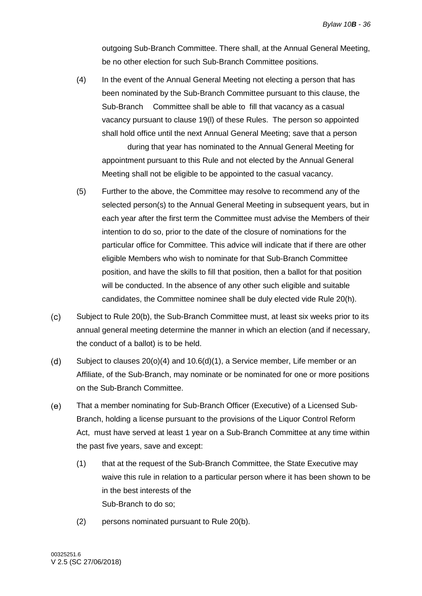outgoing Sub-Branch Committee. There shall, at the Annual General Meeting, be no other election for such Sub-Branch Committee positions.

(4) In the event of the Annual General Meeting not electing a person that has been nominated by the Sub-Branch Committee pursuant to this clause, the Sub-Branch Committee shall be able to fill that vacancy as a casual vacancy pursuant to clause [19\(l\)](#page-30-0) of these Rules. The person so appointed shall hold office until the next Annual General Meeting; save that a person

during that year has nominated to the Annual General Meeting for appointment pursuant to this Rule and not elected by the Annual General Meeting shall not be eligible to be appointed to the casual vacancy.

- (5) Further to the above, the Committee may resolve to recommend any of the selected person(s) to the Annual General Meeting in subsequent years, but in each year after the first term the Committee must advise the Members of their intention to do so, prior to the date of the closure of nominations for the particular office for Committee. This advice will indicate that if there are other eligible Members who wish to nominate for that Sub-Branch Committee position, and have the skills to fill that position, then a ballot for that position will be conducted. In the absence of any other such eligible and suitable candidates, the Committee nominee shall be duly elected vide Rule [20\(h\).](#page-40-0)
- <span id="page-39-0"></span> $(c)$ Subject to Rule [20\(b\),](#page-38-0) the Sub-Branch Committee must, at least six weeks prior to its annual general meeting determine the manner in which an election (and if necessary, the conduct of a ballot) is to be held.
- $(d)$ Subject to clauses [20\(o\)\(4\)](#page-41-0) and [10.6\(d\)\(1\),](#page-17-1) a Service member, Life member or an Affiliate, of the Sub-Branch, may nominate or be nominated for one or more positions on the Sub-Branch Committee.
- <span id="page-39-1"></span> $(e)$ That a member nominating for Sub-Branch Officer (Executive) of a Licensed Sub-Branch, holding a license pursuant to the provisions of the Liquor Control Reform Act, must have served at least 1 year on a Sub-Branch Committee at any time within the past five years, save and except:
	- (1) that at the request of the Sub-Branch Committee, the State Executive may waive this rule in relation to a particular person where it has been shown to be in the best interests of the Sub-Branch to do so;
	- (2) persons nominated pursuant to Rule [20\(b\).](#page-38-0)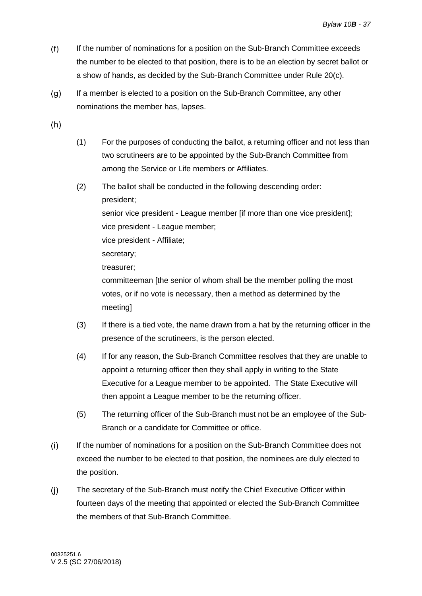- $(f)$ If the number of nominations for a position on the Sub-Branch Committee exceeds the number to be elected to that position, there is to be an election by secret ballot or a show of hands, as decided by the Sub-Branch Committee under Rule [20\(c\).](#page-39-0)
- $(g)$ If a member is elected to a position on the Sub-Branch Committee, any other nominations the member has, lapses.
- <span id="page-40-0"></span> $(h)$
- (1) For the purposes of conducting the ballot, a returning officer and not less than two scrutineers are to be appointed by the Sub-Branch Committee from among the Service or Life members or Affiliates.
- (2) The ballot shall be conducted in the following descending order: president; senior vice president - League member [if more than one vice president]; vice president - League member; vice president - Affiliate; secretary; treasurer; committeeman [the senior of whom shall be the member polling the most votes, or if no vote is necessary, then a method as determined by the
	- meeting]
- (3) If there is a tied vote, the name drawn from a hat by the returning officer in the presence of the scrutineers, is the person elected.
- (4) If for any reason, the Sub-Branch Committee resolves that they are unable to appoint a returning officer then they shall apply in writing to the State Executive for a League member to be appointed. The State Executive will then appoint a League member to be the returning officer.
- (5) The returning officer of the Sub-Branch must not be an employee of the Sub-Branch or a candidate for Committee or office.
- $(i)$ If the number of nominations for a position on the Sub-Branch Committee does not exceed the number to be elected to that position, the nominees are duly elected to the position.
- $(i)$ The secretary of the Sub-Branch must notify the Chief Executive Officer within fourteen days of the meeting that appointed or elected the Sub-Branch Committee the members of that Sub-Branch Committee.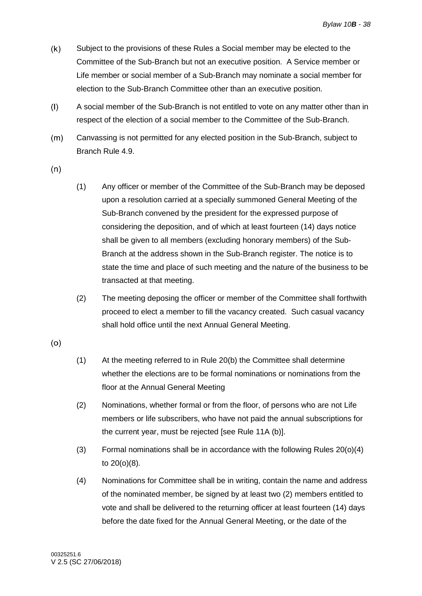- $(k)$ Subject to the provisions of these Rules a Social member may be elected to the Committee of the Sub-Branch but not an executive position. A Service member or Life member or social member of a Sub-Branch may nominate a social member for election to the Sub-Branch Committee other than an executive position.
- $(1)$ A social member of the Sub-Branch is not entitled to vote on any matter other than in respect of the election of a social member to the Committee of the Sub-Branch.
- $(m)$ Canvassing is not permitted for any elected position in the Sub-Branch, subject to Branch Rule 4.9.
- <span id="page-41-1"></span> $(n)$
- (1) Any officer or member of the Committee of the Sub-Branch may be deposed upon a resolution carried at a specially summoned General Meeting of the Sub-Branch convened by the president for the expressed purpose of considering the deposition, and of which at least fourteen (14) days notice shall be given to all members (excluding honorary members) of the Sub-Branch at the address shown in the Sub-Branch register. The notice is to state the time and place of such meeting and the nature of the business to be transacted at that meeting.
- <span id="page-41-2"></span>(2) The meeting deposing the officer or member of the Committee shall forthwith proceed to elect a member to fill the vacancy created. Such casual vacancy shall hold office until the next Annual General Meeting.

 $(o)$ 

- (1) At the meeting referred to in Rule [20\(b\)](#page-38-0) the Committee shall determine whether the elections are to be formal nominations or nominations from the floor at the Annual General Meeting
- (2) Nominations, whether formal or from the floor, of persons who are not Life members or life subscribers, who have not paid the annual subscriptions for the current year, must be rejected [see Rule 11A (b)].
- (3) Formal nominations shall be in accordance with the following Rules [20\(o\)\(4\)](#page-41-0) to [20\(o\)\(8\).](#page-42-1)
- <span id="page-41-0"></span>(4) Nominations for Committee shall be in writing, contain the name and address of the nominated member, be signed by at least two (2) members entitled to vote and shall be delivered to the returning officer at least fourteen (14) days before the date fixed for the Annual General Meeting, or the date of the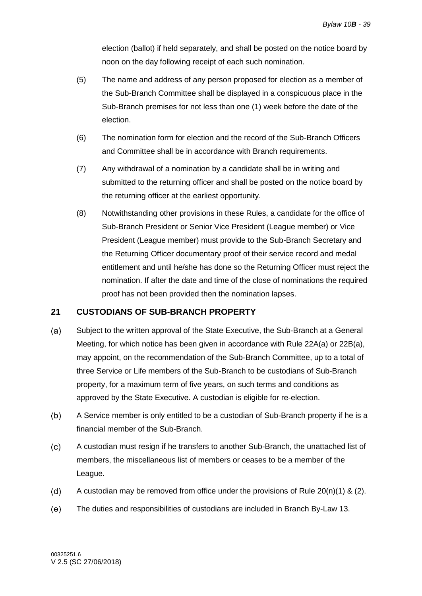election (ballot) if held separately, and shall be posted on the notice board by noon on the day following receipt of each such nomination.

- (5) The name and address of any person proposed for election as a member of the Sub-Branch Committee shall be displayed in a conspicuous place in the Sub-Branch premises for not less than one (1) week before the date of the election.
- (6) The nomination form for election and the record of the Sub-Branch Officers and Committee shall be in accordance with Branch requirements.
- (7) Any withdrawal of a nomination by a candidate shall be in writing and submitted to the returning officer and shall be posted on the notice board by the returning officer at the earliest opportunity.
- <span id="page-42-1"></span>(8) Notwithstanding other provisions in these Rules, a candidate for the office of Sub-Branch President or Senior Vice President (League member) or Vice President (League member) must provide to the Sub-Branch Secretary and the Returning Officer documentary proof of their service record and medal entitlement and until he/she has done so the Returning Officer must reject the nomination. If after the date and time of the close of nominations the required proof has not been provided then the nomination lapses.

### <span id="page-42-0"></span>**21 CUSTODIANS OF SUB-BRANCH PROPERTY**

- $(a)$ Subject to the written approval of the State Executive, the Sub-Branch at a General Meeting, for which notice has been given in accordance with Rule 22A(a) or 22B(a), may appoint, on the recommendation of the Sub-Branch Committee, up to a total of three Service or Life members of the Sub-Branch to be custodians of Sub-Branch property, for a maximum term of five years, on such terms and conditions as approved by the State Executive. A custodian is eligible for re-election.
- $(b)$ A Service member is only entitled to be a custodian of Sub-Branch property if he is a financial member of the Sub-Branch.
- $(c)$ A custodian must resign if he transfers to another Sub-Branch, the unattached list of members, the miscellaneous list of members or ceases to be a member of the League.
- $(d)$ A custodian may be removed from office under the provisions of Rule [20\(n\)\(1\)](#page-41-1) & [\(2\).](#page-41-2)
- $(e)$ The duties and responsibilities of custodians are included in Branch By-Law 13.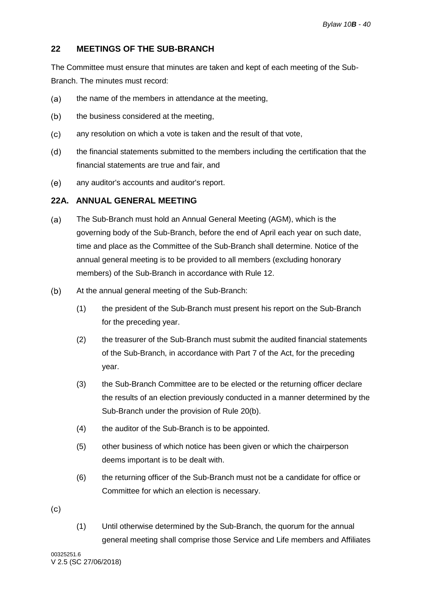### <span id="page-43-0"></span>**22 MEETINGS OF THE SUB-BRANCH**

The Committee must ensure that minutes are taken and kept of each meeting of the Sub-Branch. The minutes must record:

- $(a)$ the name of the members in attendance at the meeting,
- $(b)$ the business considered at the meeting,
- $(c)$ any resolution on which a vote is taken and the result of that vote,
- $(d)$ the financial statements submitted to the members including the certification that the financial statements are true and fair, and
- $(e)$ any auditor's accounts and auditor's report.

### <span id="page-43-1"></span>**22A. ANNUAL GENERAL MEETING**

- $(a)$ The Sub-Branch must hold an Annual General Meeting (AGM), which is the governing body of the Sub-Branch, before the end of April each year on such date, time and place as the Committee of the Sub-Branch shall determine. Notice of the annual general meeting is to be provided to all members (excluding honorary members) of the Sub-Branch in accordance with Rule [12.](#page-20-0)
- $(b)$ At the annual general meeting of the Sub-Branch:
	- (1) the president of the Sub-Branch must present his report on the Sub-Branch for the preceding year.
	- (2) the treasurer of the Sub-Branch must submit the audited financial statements of the Sub-Branch, in accordance with Part 7 of the Act, for the preceding year.
	- (3) the Sub-Branch Committee are to be elected or the returning officer declare the results of an election previously conducted in a manner determined by the Sub-Branch under the provision of Rule [20\(b\).](#page-38-0)
	- (4) the auditor of the Sub-Branch is to be appointed.
	- (5) other business of which notice has been given or which the chairperson deems important is to be dealt with.
	- (6) the returning officer of the Sub-Branch must not be a candidate for office or Committee for which an election is necessary.

 $(c)$ 

(1) Until otherwise determined by the Sub-Branch, the quorum for the annual general meeting shall comprise those Service and Life members and Affiliates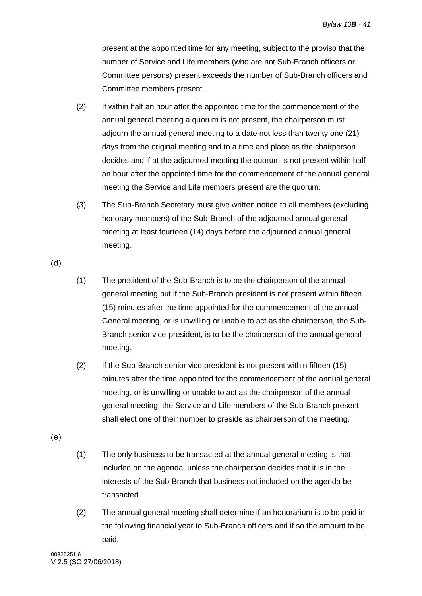present at the appointed time for any meeting, subject to the proviso that the number of Service and Life members (who are not Sub-Branch officers or Committee persons) present exceeds the number of Sub-Branch officers and Committee members present.

- (2) If within half an hour after the appointed time for the commencement of the annual general meeting a quorum is not present, the chairperson must adjourn the annual general meeting to a date not less than twenty one (21) days from the original meeting and to a time and place as the chairperson decides and if at the adjourned meeting the quorum is not present within half an hour after the appointed time for the commencement of the annual general meeting the Service and Life members present are the quorum.
- (3) The Sub-Branch Secretary must give written notice to all members (excluding honorary members) of the Sub-Branch of the adjourned annual general meeting at least fourteen (14) days before the adjourned annual general meeting.

 $(d)$ 

- (1) The president of the Sub-Branch is to be the chairperson of the annual general meeting but if the Sub-Branch president is not present within fifteen (15) minutes after the time appointed for the commencement of the annual General meeting, or is unwilling or unable to act as the chairperson, the Sub-Branch senior vice-president, is to be the chairperson of the annual general meeting.
- (2) If the Sub-Branch senior vice president is not present within fifteen (15) minutes after the time appointed for the commencement of the annual general meeting, or is unwilling or unable to act as the chairperson of the annual general meeting, the Service and Life members of the Sub-Branch present shall elect one of their number to preside as chairperson of the meeting.

 $(e)$ 

- (1) The only business to be transacted at the annual general meeting is that included on the agenda, unless the chairperson decides that it is in the interests of the Sub-Branch that business not included on the agenda be transacted.
- (2) The annual general meeting shall determine if an honorarium is to be paid in the following financial year to Sub-Branch officers and if so the amount to be paid.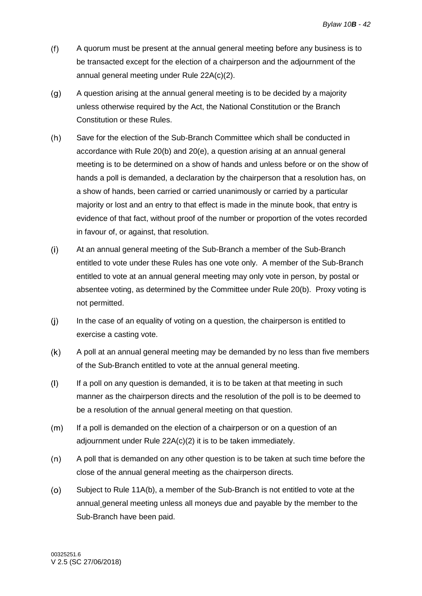- $(f)$ A quorum must be present at the annual general meeting before any business is to be transacted except for the election of a chairperson and the adjournment of the annual general meeting under Rule 22A(c)(2).
- $(g)$ A question arising at the annual general meeting is to be decided by a majority unless otherwise required by the Act, the National Constitution or the Branch Constitution or these Rules.
- $(h)$ Save for the election of the Sub-Branch Committee which shall be conducted in accordance with Rule [20\(b\)](#page-38-0) and [20\(e\),](#page-39-1) a question arising at an annual general meeting is to be determined on a show of hands and unless before or on the show of hands a poll is demanded, a declaration by the chairperson that a resolution has, on a show of hands, been carried or carried unanimously or carried by a particular majority or lost and an entry to that effect is made in the minute book, that entry is evidence of that fact, without proof of the number or proportion of the votes recorded in favour of, or against, that resolution.
- $(i)$ At an annual general meeting of the Sub-Branch a member of the Sub-Branch entitled to vote under these Rules has one vote only. A member of the Sub-Branch entitled to vote at an annual general meeting may only vote in person, by postal or absentee voting, as determined by the Committee under Rule [20\(b\).](#page-38-0) Proxy voting is not permitted.
- $(i)$ In the case of an equality of voting on a question, the chairperson is entitled to exercise a casting vote.
- $(k)$ A poll at an annual general meeting may be demanded by no less than five members of the Sub-Branch entitled to vote at the annual general meeting.
- $(1)$ If a poll on any question is demanded, it is to be taken at that meeting in such manner as the chairperson directs and the resolution of the poll is to be deemed to be a resolution of the annual general meeting on that question.
- $(m)$ If a poll is demanded on the election of a chairperson or on a question of an adjournment under Rule 22A(c)(2) it is to be taken immediately.
- $(n)$ A poll that is demanded on any other question is to be taken at such time before the close of the annual general meeting as the chairperson directs.
- $(0)$ Subject to Rule 11A(b), a member of the Sub-Branch is not entitled to vote at the annual general meeting unless all moneys due and payable by the member to the Sub-Branch have been paid.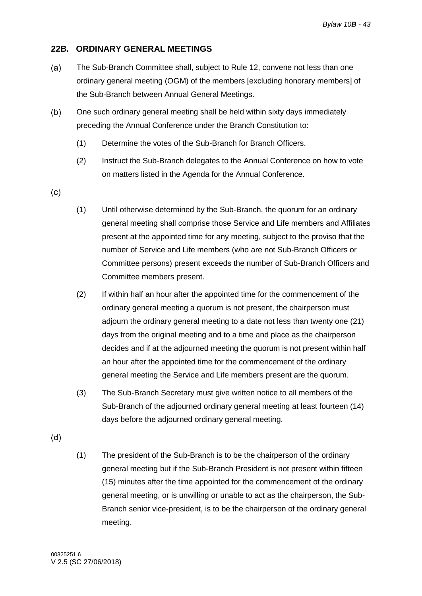### <span id="page-46-0"></span>**22B. ORDINARY GENERAL MEETINGS**

- The Sub-Branch Committee shall, subject to Rule [12,](#page-20-0) convene not less than one  $(a)$ ordinary general meeting (OGM) of the members [excluding honorary members] of the Sub-Branch between Annual General Meetings.
- $(b)$ One such ordinary general meeting shall be held within sixty days immediately preceding the Annual Conference under the Branch Constitution to:
	- (1) Determine the votes of the Sub-Branch for Branch Officers.
	- (2) Instruct the Sub-Branch delegates to the Annual Conference on how to vote on matters listed in the Agenda for the Annual Conference.
- $(c)$
- (1) Until otherwise determined by the Sub-Branch, the quorum for an ordinary general meeting shall comprise those Service and Life members and Affiliates present at the appointed time for any meeting, subject to the proviso that the number of Service and Life members (who are not Sub-Branch Officers or Committee persons) present exceeds the number of Sub-Branch Officers and Committee members present.
- (2) If within half an hour after the appointed time for the commencement of the ordinary general meeting a quorum is not present, the chairperson must adjourn the ordinary general meeting to a date not less than twenty one (21) days from the original meeting and to a time and place as the chairperson decides and if at the adjourned meeting the quorum is not present within half an hour after the appointed time for the commencement of the ordinary general meeting the Service and Life members present are the quorum.
- (3) The Sub-Branch Secretary must give written notice to all members of the Sub-Branch of the adjourned ordinary general meeting at least fourteen (14) days before the adjourned ordinary general meeting.
- $(d)$
- (1) The president of the Sub-Branch is to be the chairperson of the ordinary general meeting but if the Sub-Branch President is not present within fifteen (15) minutes after the time appointed for the commencement of the ordinary general meeting, or is unwilling or unable to act as the chairperson, the Sub-Branch senior vice-president, is to be the chairperson of the ordinary general meeting.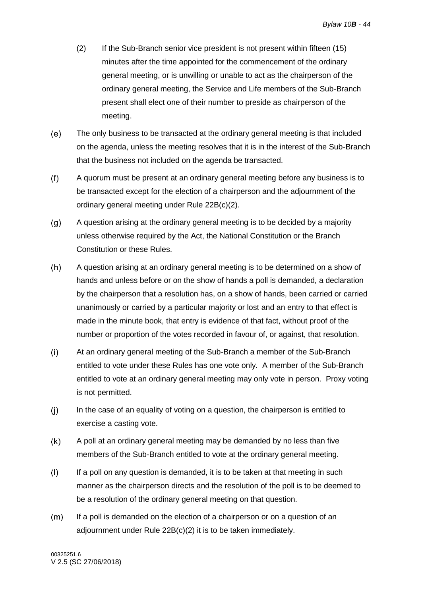- (2) If the Sub-Branch senior vice president is not present within fifteen (15) minutes after the time appointed for the commencement of the ordinary general meeting, or is unwilling or unable to act as the chairperson of the ordinary general meeting, the Service and Life members of the Sub-Branch present shall elect one of their number to preside as chairperson of the meeting.
- $(e)$ The only business to be transacted at the ordinary general meeting is that included on the agenda, unless the meeting resolves that it is in the interest of the Sub-Branch that the business not included on the agenda be transacted.
- $(f)$ A quorum must be present at an ordinary general meeting before any business is to be transacted except for the election of a chairperson and the adjournment of the ordinary general meeting under Rule 22B(c)(2).
- $(q)$ A question arising at the ordinary general meeting is to be decided by a majority unless otherwise required by the Act, the National Constitution or the Branch Constitution or these Rules.
- $(h)$ A question arising at an ordinary general meeting is to be determined on a show of hands and unless before or on the show of hands a poll is demanded, a declaration by the chairperson that a resolution has, on a show of hands, been carried or carried unanimously or carried by a particular majority or lost and an entry to that effect is made in the minute book, that entry is evidence of that fact, without proof of the number or proportion of the votes recorded in favour of, or against, that resolution.
- $(i)$ At an ordinary general meeting of the Sub-Branch a member of the Sub-Branch entitled to vote under these Rules has one vote only. A member of the Sub-Branch entitled to vote at an ordinary general meeting may only vote in person. Proxy voting is not permitted.
- $(i)$ In the case of an equality of voting on a question, the chairperson is entitled to exercise a casting vote.
- $(k)$ A poll at an ordinary general meeting may be demanded by no less than five members of the Sub-Branch entitled to vote at the ordinary general meeting.
- $(1)$ If a poll on any question is demanded, it is to be taken at that meeting in such manner as the chairperson directs and the resolution of the poll is to be deemed to be a resolution of the ordinary general meeting on that question.
- $(m)$ If a poll is demanded on the election of a chairperson or on a question of an adjournment under Rule 22B(c)(2) it is to be taken immediately.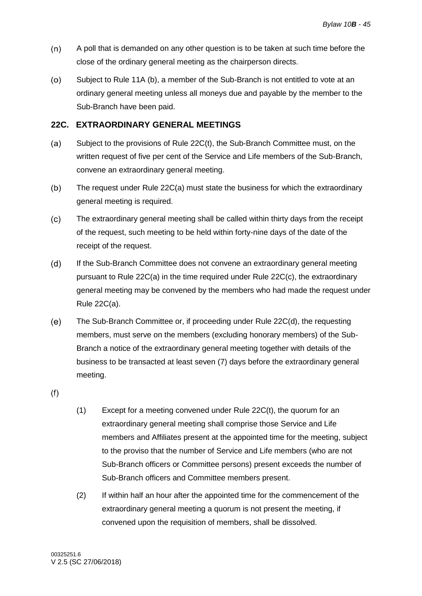- $(n)$ A poll that is demanded on any other question is to be taken at such time before the close of the ordinary general meeting as the chairperson directs.
- $(0)$ Subject to Rule 11A (b), a member of the Sub-Branch is not entitled to vote at an ordinary general meeting unless all moneys due and payable by the member to the Sub-Branch have been paid.

### <span id="page-48-0"></span>**22C. EXTRAORDINARY GENERAL MEETINGS**

- $(a)$ Subject to the provisions of Rule 22C(t), the Sub-Branch Committee must, on the written request of five per cent of the Service and Life members of the Sub-Branch, convene an extraordinary general meeting.
- $(b)$ The request under Rule 22C(a) must state the business for which the extraordinary general meeting is required.
- $(c)$ The extraordinary general meeting shall be called within thirty days from the receipt of the request, such meeting to be held within forty-nine days of the date of the receipt of the request.
- If the Sub-Branch Committee does not convene an extraordinary general meeting  $(d)$ pursuant to Rule 22C(a) in the time required under Rule 22C(c), the extraordinary general meeting may be convened by the members who had made the request under Rule 22C(a).
- $(e)$ The Sub-Branch Committee or, if proceeding under Rule 22C(d), the requesting members, must serve on the members (excluding honorary members) of the Sub-Branch a notice of the extraordinary general meeting together with details of the business to be transacted at least seven (7) days before the extraordinary general meeting.

 $(f)$ 

- (1) Except for a meeting convened under Rule 22C(t), the quorum for an extraordinary general meeting shall comprise those Service and Life members and Affiliates present at the appointed time for the meeting, subject to the proviso that the number of Service and Life members (who are not Sub-Branch officers or Committee persons) present exceeds the number of Sub-Branch officers and Committee members present.
- (2) If within half an hour after the appointed time for the commencement of the extraordinary general meeting a quorum is not present the meeting, if convened upon the requisition of members, shall be dissolved.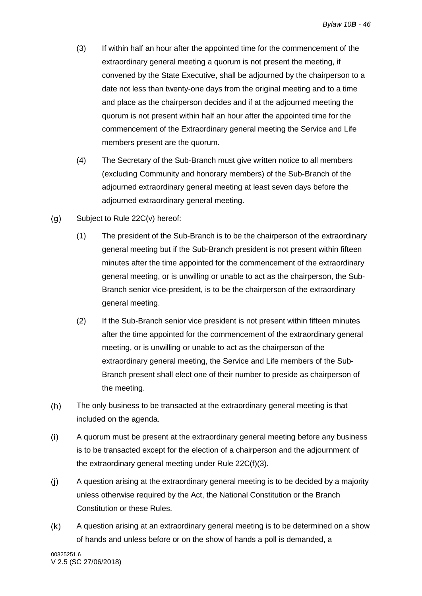- (3) If within half an hour after the appointed time for the commencement of the extraordinary general meeting a quorum is not present the meeting, if convened by the State Executive, shall be adjourned by the chairperson to a date not less than twenty-one days from the original meeting and to a time and place as the chairperson decides and if at the adjourned meeting the quorum is not present within half an hour after the appointed time for the commencement of the Extraordinary general meeting the Service and Life members present are the quorum.
- (4) The Secretary of the Sub-Branch must give written notice to all members (excluding Community and honorary members) of the Sub-Branch of the adjourned extraordinary general meeting at least seven days before the adjourned extraordinary general meeting.
- Subject to Rule 22C(v) hereof:  $(g)$ 
	- (1) The president of the Sub-Branch is to be the chairperson of the extraordinary general meeting but if the Sub-Branch president is not present within fifteen minutes after the time appointed for the commencement of the extraordinary general meeting, or is unwilling or unable to act as the chairperson, the Sub-Branch senior vice-president, is to be the chairperson of the extraordinary general meeting.
	- (2) If the Sub-Branch senior vice president is not present within fifteen minutes after the time appointed for the commencement of the extraordinary general meeting, or is unwilling or unable to act as the chairperson of the extraordinary general meeting, the Service and Life members of the Sub-Branch present shall elect one of their number to preside as chairperson of the meeting.
- $(h)$ The only business to be transacted at the extraordinary general meeting is that included on the agenda.
- $(i)$ A quorum must be present at the extraordinary general meeting before any business is to be transacted except for the election of a chairperson and the adjournment of the extraordinary general meeting under Rule 22C(f)(3).
- $(i)$ A question arising at the extraordinary general meeting is to be decided by a majority unless otherwise required by the Act, the National Constitution or the Branch Constitution or these Rules.
- $(k)$ A question arising at an extraordinary general meeting is to be determined on a show of hands and unless before or on the show of hands a poll is demanded, a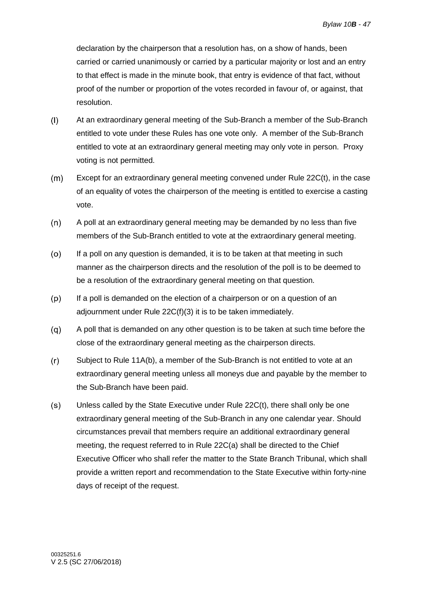declaration by the chairperson that a resolution has, on a show of hands, been carried or carried unanimously or carried by a particular majority or lost and an entry to that effect is made in the minute book, that entry is evidence of that fact, without proof of the number or proportion of the votes recorded in favour of, or against, that resolution.

- $(1)$ At an extraordinary general meeting of the Sub-Branch a member of the Sub-Branch entitled to vote under these Rules has one vote only. A member of the Sub-Branch entitled to vote at an extraordinary general meeting may only vote in person. Proxy voting is not permitted.
- Except for an extraordinary general meeting convened under Rule 22C(t), in the case  $(m)$ of an equality of votes the chairperson of the meeting is entitled to exercise a casting vote.
- $(n)$ A poll at an extraordinary general meeting may be demanded by no less than five members of the Sub-Branch entitled to vote at the extraordinary general meeting.
- $(0)$ If a poll on any question is demanded, it is to be taken at that meeting in such manner as the chairperson directs and the resolution of the poll is to be deemed to be a resolution of the extraordinary general meeting on that question.
- $(p)$ If a poll is demanded on the election of a chairperson or on a question of an adjournment under Rule 22C(f)(3) it is to be taken immediately.
- $(q)$ A poll that is demanded on any other question is to be taken at such time before the close of the extraordinary general meeting as the chairperson directs.
- $(r)$ Subject to Rule 11A(b), a member of the Sub-Branch is not entitled to vote at an extraordinary general meeting unless all moneys due and payable by the member to the Sub-Branch have been paid.
- $(s)$ Unless called by the State Executive under Rule 22C(t), there shall only be one extraordinary general meeting of the Sub-Branch in any one calendar year. Should circumstances prevail that members require an additional extraordinary general meeting, the request referred to in Rule 22C(a) shall be directed to the Chief Executive Officer who shall refer the matter to the State Branch Tribunal, which shall provide a written report and recommendation to the State Executive within forty-nine days of receipt of the request.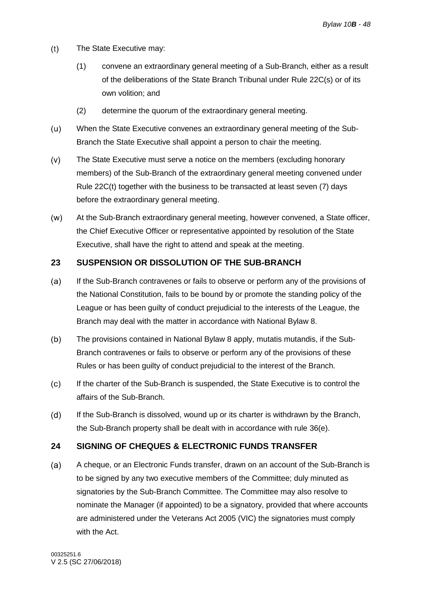- $(t)$ The State Executive may:
	- (1) convene an extraordinary general meeting of a Sub-Branch, either as a result of the deliberations of the State Branch Tribunal under Rule 22C(s) or of its own volition; and
	- (2) determine the quorum of the extraordinary general meeting.
- When the State Executive convenes an extraordinary general meeting of the Sub- $(u)$ Branch the State Executive shall appoint a person to chair the meeting.
- $(v)$ The State Executive must serve a notice on the members (excluding honorary members) of the Sub-Branch of the extraordinary general meeting convened under Rule 22C(t) together with the business to be transacted at least seven (7) days before the extraordinary general meeting.
- $(w)$ At the Sub-Branch extraordinary general meeting, however convened, a State officer, the Chief Executive Officer or representative appointed by resolution of the State Executive, shall have the right to attend and speak at the meeting.

### <span id="page-51-0"></span>**23 SUSPENSION OR DISSOLUTION OF THE SUB-BRANCH**

- If the Sub-Branch contravenes or fails to observe or perform any of the provisions of  $(a)$ the National Constitution, fails to be bound by or promote the standing policy of the League or has been guilty of conduct prejudicial to the interests of the League, the Branch may deal with the matter in accordance with National Bylaw 8.
- $(b)$ The provisions contained in National Bylaw 8 apply, mutatis mutandis, if the Sub-Branch contravenes or fails to observe or perform any of the provisions of these Rules or has been guilty of conduct prejudicial to the interest of the Branch.
- $(c)$ If the charter of the Sub-Branch is suspended, the State Executive is to control the affairs of the Sub-Branch.
- $(d)$ If the Sub-Branch is dissolved, wound up or its charter is withdrawn by the Branch, the Sub-Branch property shall be dealt with in accordance with rule [36\(e\).](#page-57-3)

### <span id="page-51-1"></span>**24 SIGNING OF CHEQUES & ELECTRONIC FUNDS TRANSFER**

<span id="page-51-2"></span> $(a)$ A cheque, or an Electronic Funds transfer, drawn on an account of the Sub-Branch is to be signed by any two executive members of the Committee; duly minuted as signatories by the Sub-Branch Committee. The Committee may also resolve to nominate the Manager (if appointed) to be a signatory, provided that where accounts are administered under the Veterans Act 2005 (VIC) the signatories must comply with the Act.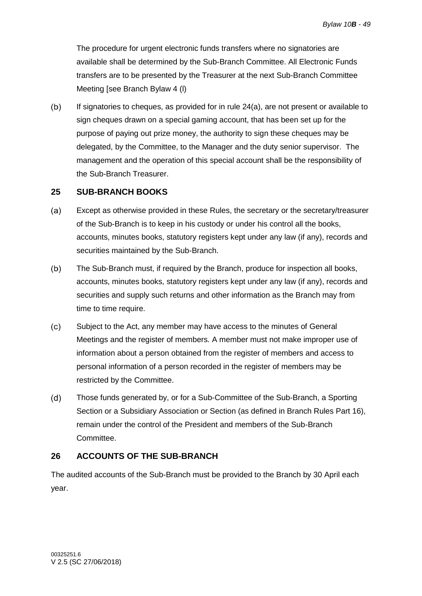The procedure for urgent electronic funds transfers where no signatories are available shall be determined by the Sub-Branch Committee. All Electronic Funds transfers are to be presented by the Treasurer at the next Sub-Branch Committee Meeting [see Branch Bylaw 4 (l)

 $(b)$ If signatories to cheques, as provided for in rule [24\(a\),](#page-51-2) are not present or available to sign cheques drawn on a special gaming account, that has been set up for the purpose of paying out prize money, the authority to sign these cheques may be delegated, by the Committee, to the Manager and the duty senior supervisor. The management and the operation of this special account shall be the responsibility of the Sub-Branch Treasurer.

### <span id="page-52-0"></span>**25 SUB-BRANCH BOOKS**

- Except as otherwise provided in these Rules, the secretary or the secretary/treasurer  $(a)$ of the Sub-Branch is to keep in his custody or under his control all the books, accounts, minutes books, statutory registers kept under any law (if any), records and securities maintained by the Sub-Branch.
- $(b)$ The Sub-Branch must, if required by the Branch, produce for inspection all books, accounts, minutes books, statutory registers kept under any law (if any), records and securities and supply such returns and other information as the Branch may from time to time require.
- $(c)$ Subject to the Act, any member may have access to the minutes of General Meetings and the register of members. A member must not make improper use of information about a person obtained from the register of members and access to personal information of a person recorded in the register of members may be restricted by the Committee.
- $(d)$ Those funds generated by, or for a Sub-Committee of the Sub-Branch, a Sporting Section or a Subsidiary Association or Section (as defined in Branch Rules Part 16), remain under the control of the President and members of the Sub-Branch Committee.

### <span id="page-52-1"></span>**26 ACCOUNTS OF THE SUB-BRANCH**

The audited accounts of the Sub-Branch must be provided to the Branch by 30 April each year.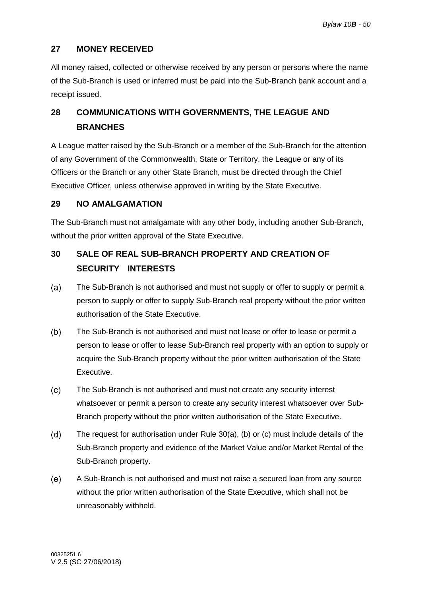### <span id="page-53-0"></span>**27 MONEY RECEIVED**

All money raised, collected or otherwise received by any person or persons where the name of the Sub-Branch is used or inferred must be paid into the Sub-Branch bank account and a receipt issued.

### <span id="page-53-1"></span>**28 COMMUNICATIONS WITH GOVERNMENTS, THE LEAGUE AND BRANCHES**

A League matter raised by the Sub-Branch or a member of the Sub-Branch for the attention of any Government of the Commonwealth, State or Territory, the League or any of its Officers or the Branch or any other State Branch, must be directed through the Chief Executive Officer, unless otherwise approved in writing by the State Executive.

### <span id="page-53-2"></span>**29 NO AMALGAMATION**

The Sub-Branch must not amalgamate with any other body, including another Sub-Branch, without the prior written approval of the State Executive.

### <span id="page-53-3"></span>**30 SALE OF REAL SUB-BRANCH PROPERTY AND CREATION OF SECURITY INTERESTS**

- <span id="page-53-4"></span> $(a)$ The Sub-Branch is not authorised and must not supply or offer to supply or permit a person to supply or offer to supply Sub-Branch real property without the prior written authorisation of the State Executive.
- <span id="page-53-5"></span> $(b)$ The Sub-Branch is not authorised and must not lease or offer to lease or permit a person to lease or offer to lease Sub-Branch real property with an option to supply or acquire the Sub-Branch property without the prior written authorisation of the State Executive.
- <span id="page-53-6"></span> $(c)$ The Sub-Branch is not authorised and must not create any security interest whatsoever or permit a person to create any security interest whatsoever over Sub-Branch property without the prior written authorisation of the State Executive.
- $(d)$ The request for authorisation under Rule [30\(a\),](#page-53-4) [\(b\)](#page-53-5) or [\(c\)](#page-53-6) must include details of the Sub-Branch property and evidence of the Market Value and/or Market Rental of the Sub-Branch property.
- $(e)$ A Sub-Branch is not authorised and must not raise a secured loan from any source without the prior written authorisation of the State Executive, which shall not be unreasonably withheld.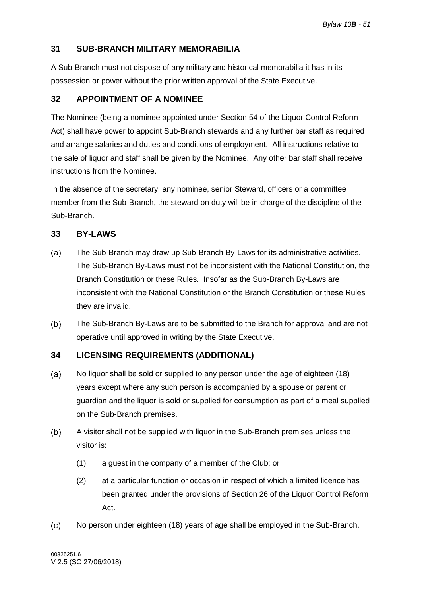### <span id="page-54-0"></span>**31 SUB-BRANCH MILITARY MEMORABILIA**

A Sub-Branch must not dispose of any military and historical memorabilia it has in its possession or power without the prior written approval of the State Executive.

### <span id="page-54-1"></span>**32 APPOINTMENT OF A NOMINEE**

The Nominee (being a nominee appointed under Section 54 of the Liquor Control Reform Act) shall have power to appoint Sub-Branch stewards and any further bar staff as required and arrange salaries and duties and conditions of employment. All instructions relative to the sale of liquor and staff shall be given by the Nominee. Any other bar staff shall receive instructions from the Nominee.

In the absence of the secretary, any nominee, senior Steward, officers or a committee member from the Sub-Branch, the steward on duty will be in charge of the discipline of the Sub-Branch.

### <span id="page-54-2"></span>**33 BY-LAWS**

- $(a)$ The Sub-Branch may draw up Sub-Branch By-Laws for its administrative activities. The Sub-Branch By-Laws must not be inconsistent with the National Constitution, the Branch Constitution or these Rules. Insofar as the Sub-Branch By-Laws are inconsistent with the National Constitution or the Branch Constitution or these Rules they are invalid.
- $(b)$ The Sub-Branch By-Laws are to be submitted to the Branch for approval and are not operative until approved in writing by the State Executive.

### <span id="page-54-3"></span>**34 LICENSING REQUIREMENTS (ADDITIONAL)**

- $(a)$ No liquor shall be sold or supplied to any person under the age of eighteen (18) years except where any such person is accompanied by a spouse or parent or guardian and the liquor is sold or supplied for consumption as part of a meal supplied on the Sub-Branch premises.
- $(b)$ A visitor shall not be supplied with liquor in the Sub-Branch premises unless the visitor is:
	- (1) a guest in the company of a member of the Club; or
	- (2) at a particular function or occasion in respect of which a limited licence has been granted under the provisions of Section 26 of the Liquor Control Reform Act.
- $(c)$ No person under eighteen (18) years of age shall be employed in the Sub-Branch.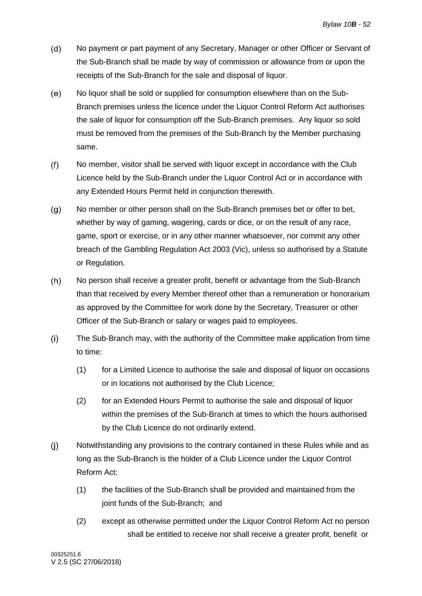- $(d)$ No payment or part payment of any Secretary, Manager or other Officer or Servant of the Sub-Branch shall be made by way of commission or allowance from or upon the receipts of the Sub-Branch for the sale and disposal of liquor.
- $(e)$ No liquor shall be sold or supplied for consumption elsewhere than on the Sub-Branch premises unless the licence under the Liquor Control Reform Act authorises the sale of liquor for consumption off the Sub-Branch premises. Any liquor so sold must be removed from the premises of the Sub-Branch by the Member purchasing same.
- $(f)$ No member, visitor shall be served with liquor except in accordance with the Club Licence held by the Sub-Branch under the Liquor Control Act or in accordance with any Extended Hours Permit held in conjunction therewith.
- $(g)$ No member or other person shall on the Sub-Branch premises bet or offer to bet, whether by way of gaming, wagering, cards or dice, or on the result of any race, game, sport or exercise, or in any other manner whatsoever, nor commit any other breach of the Gambling Regulation Act 2003 (Vic), unless so authorised by a Statute or Regulation.
- $(h)$ No person shall receive a greater profit, benefit or advantage from the Sub-Branch than that received by every Member thereof other than a remuneration or honorarium as approved by the Committee for work done by the Secretary, Treasurer or other Officer of the Sub-Branch or salary or wages paid to employees.
- $(i)$ The Sub-Branch may, with the authority of the Committee make application from time to time:
	- (1) for a Limited Licence to authorise the sale and disposal of liquor on occasions or in locations not authorised by the Club Licence;
	- (2) for an Extended Hours Permit to authorise the sale and disposal of liquor within the premises of the Sub-Branch at times to which the hours authorised by the Club Licence do not ordinarily extend.
- $(i)$ Notwithstanding any provisions to the contrary contained in these Rules while and as long as the Sub-Branch is the holder of a Club Licence under the Liquor Control Reform Act:
	- (1) the facilities of the Sub-Branch shall be provided and maintained from the joint funds of the Sub-Branch; and
	- (2) except as otherwise permitted under the Liquor Control Reform Act no person shall be entitled to receive nor shall receive a greater profit, benefit or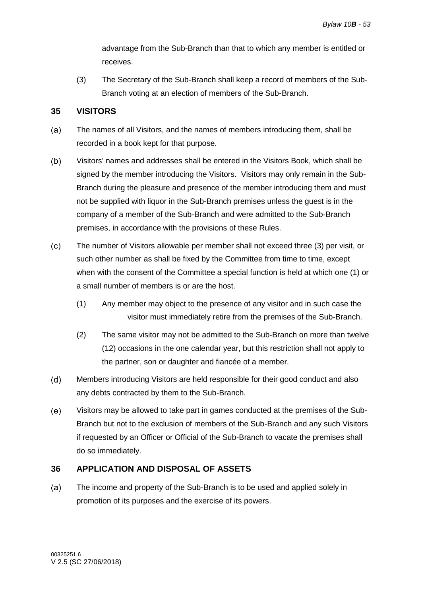advantage from the Sub-Branch than that to which any member is entitled or receives.

(3) The Secretary of the Sub-Branch shall keep a record of members of the Sub-Branch voting at an election of members of the Sub-Branch.

### <span id="page-56-0"></span>**35 VISITORS**

- $(a)$ The names of all Visitors, and the names of members introducing them, shall be recorded in a book kept for that purpose.
- Visitors' names and addresses shall be entered in the Visitors Book, which shall be  $(b)$ signed by the member introducing the Visitors. Visitors may only remain in the Sub-Branch during the pleasure and presence of the member introducing them and must not be supplied with liquor in the Sub-Branch premises unless the guest is in the company of a member of the Sub-Branch and were admitted to the Sub-Branch premises, in accordance with the provisions of these Rules.
- $(c)$ The number of Visitors allowable per member shall not exceed three (3) per visit, or such other number as shall be fixed by the Committee from time to time, except when with the consent of the Committee a special function is held at which one (1) or a small number of members is or are the host.
	- (1) Any member may object to the presence of any visitor and in such case the visitor must immediately retire from the premises of the Sub-Branch.
	- (2) The same visitor may not be admitted to the Sub-Branch on more than twelve (12) occasions in the one calendar year, but this restriction shall not apply to the partner, son or daughter and fiancée of a member.
- $(d)$ Members introducing Visitors are held responsible for their good conduct and also any debts contracted by them to the Sub-Branch.
- $(e)$ Visitors may be allowed to take part in games conducted at the premises of the Sub-Branch but not to the exclusion of members of the Sub-Branch and any such Visitors if requested by an Officer or Official of the Sub-Branch to vacate the premises shall do so immediately.

### <span id="page-56-1"></span>**36 APPLICATION AND DISPOSAL OF ASSETS**

 $(a)$ The income and property of the Sub-Branch is to be used and applied solely in promotion of its purposes and the exercise of its powers.